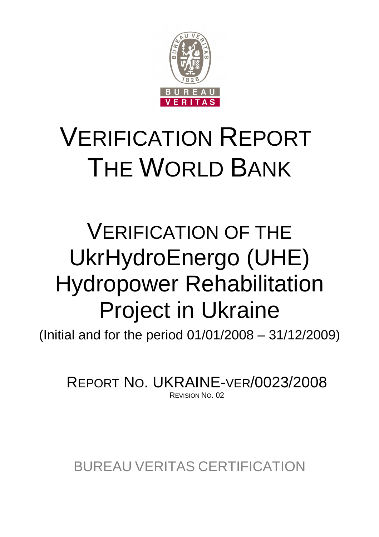

# VERIFICATION REPORT THE WORLD BANK

## VERIFICATION OF THE UkrHydroEnergo (UHE) Hydropower Rehabilitation Project in Ukraine

(Initial and for the period 01/01/2008 – 31/12/2009)

REPORT NO. UKRAINE-VER/0023/2008 REVISION NO. 02

BUREAU VERITAS CERTIFICATION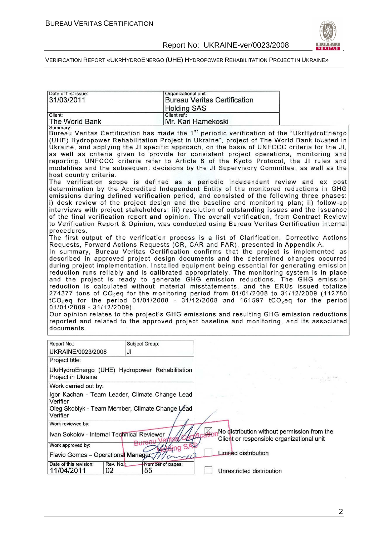

| Date of first issue:<br>31/03/2011                                                                            | Organizational unit:<br><b>Holding SAS</b> | <b>Bureau Veritas Certification</b>                                                                                                                                                                                                                                                                                                                                                                                                                                                                                                                                                                                                                                                                                                                                                                                                                                                                                                                                                                                                                                                                                                                                                                                                                                                                                                                                                                                                                                                                                                                                                                                                                                                                                                                                                                                                                                                                                                                                                                                                                                                                                                                                                                                                                                                                                                                                              |  |  |  |  |
|---------------------------------------------------------------------------------------------------------------|--------------------------------------------|----------------------------------------------------------------------------------------------------------------------------------------------------------------------------------------------------------------------------------------------------------------------------------------------------------------------------------------------------------------------------------------------------------------------------------------------------------------------------------------------------------------------------------------------------------------------------------------------------------------------------------------------------------------------------------------------------------------------------------------------------------------------------------------------------------------------------------------------------------------------------------------------------------------------------------------------------------------------------------------------------------------------------------------------------------------------------------------------------------------------------------------------------------------------------------------------------------------------------------------------------------------------------------------------------------------------------------------------------------------------------------------------------------------------------------------------------------------------------------------------------------------------------------------------------------------------------------------------------------------------------------------------------------------------------------------------------------------------------------------------------------------------------------------------------------------------------------------------------------------------------------------------------------------------------------------------------------------------------------------------------------------------------------------------------------------------------------------------------------------------------------------------------------------------------------------------------------------------------------------------------------------------------------------------------------------------------------------------------------------------------------|--|--|--|--|
| Client:<br>The World Bank                                                                                     | Client ref.:                               | Mr. Kari Hamekoski                                                                                                                                                                                                                                                                                                                                                                                                                                                                                                                                                                                                                                                                                                                                                                                                                                                                                                                                                                                                                                                                                                                                                                                                                                                                                                                                                                                                                                                                                                                                                                                                                                                                                                                                                                                                                                                                                                                                                                                                                                                                                                                                                                                                                                                                                                                                                               |  |  |  |  |
| Summary:<br>host country criteria.<br>procedures.<br>01/01/2009 - 31/12/2009).<br>documents.                  |                                            | Bureau Veritas Certification has made the 1 <sup>st</sup> periodic verification of the "UkrHydroEnergo<br>(UHE) Hydropower Rehabilitation Project in Ukraine", project of The World Bank located in<br>Ukraine, and applying the JI specific approach, on the basis of UNFCCC criteria for the JI,<br>as well as criteria given to provide for consistent project operations, monitoring and<br>reporting. UNFCCC criteria refer to Article 6 of the Kyoto Protocol, the JI rules and<br>modalities and the subsequent decisions by the JI Supervisory Committee, as well as the<br>The verification scope is defined as a periodic independent review and ex post<br>determination by the Accredited Independent Entity of the monitored reductions in GHG<br>emissions during defined verification period, and consisted of the following three phases:<br>i) desk review of the project design and the baseline and monitoring plan; ii) follow-up<br>interviews with project stakeholders; iii) resolution of outstanding issues and the issuance<br>of the final verification report and opinion. The overall verification, from Contract Review<br>to Verification Report & Opinion, was conducted using Bureau Veritas Certification internal<br>The first output of the verification process is a list of Clarification, Corrective Actions<br>Requests, Forward Actions Requests (CR, CAR and FAR), presented in Appendix A.<br>In summary, Bureau Veritas Certification confirms that the project is implemented as<br>described in approved project design documents and the determined changes occurred<br>during project implementation. Installed equipment being essential for generating emission<br>reduction runs reliably and is calibrated appropriately. The monitoring system is in place<br>and the project is ready to generate GHG emission reductions. The GHG emission<br>reduction is calculated without material misstatements, and the ERUs issued totalize<br>274377 tons of CO <sub>2</sub> eq for the monitoring period from 01/01/2008 to 31/12/2009 (112780<br>$tCO_2$ eq for the period 01/01/2008 - 31/12/2008 and 161597 $tCO_2$ eq for the period<br>Our opinion relates to the project's GHG emissions and resulting GHG emission reductions<br>reported and related to the approved project baseline and monitoring, and its associated |  |  |  |  |
| Report No.:                                                                                                   | Subject Group:                             |                                                                                                                                                                                                                                                                                                                                                                                                                                                                                                                                                                                                                                                                                                                                                                                                                                                                                                                                                                                                                                                                                                                                                                                                                                                                                                                                                                                                                                                                                                                                                                                                                                                                                                                                                                                                                                                                                                                                                                                                                                                                                                                                                                                                                                                                                                                                                                                  |  |  |  |  |
| UKRAINE/0023/2008<br>JI                                                                                       |                                            |                                                                                                                                                                                                                                                                                                                                                                                                                                                                                                                                                                                                                                                                                                                                                                                                                                                                                                                                                                                                                                                                                                                                                                                                                                                                                                                                                                                                                                                                                                                                                                                                                                                                                                                                                                                                                                                                                                                                                                                                                                                                                                                                                                                                                                                                                                                                                                                  |  |  |  |  |
| Project title:<br>UkrHydroEnergo (UHE) Hydropower Rehabilitation<br>Project in Ukraine                        |                                            |                                                                                                                                                                                                                                                                                                                                                                                                                                                                                                                                                                                                                                                                                                                                                                                                                                                                                                                                                                                                                                                                                                                                                                                                                                                                                                                                                                                                                                                                                                                                                                                                                                                                                                                                                                                                                                                                                                                                                                                                                                                                                                                                                                                                                                                                                                                                                                                  |  |  |  |  |
| Work carried out by:                                                                                          |                                            |                                                                                                                                                                                                                                                                                                                                                                                                                                                                                                                                                                                                                                                                                                                                                                                                                                                                                                                                                                                                                                                                                                                                                                                                                                                                                                                                                                                                                                                                                                                                                                                                                                                                                                                                                                                                                                                                                                                                                                                                                                                                                                                                                                                                                                                                                                                                                                                  |  |  |  |  |
| Igor Kachan - Team Leader, Climate Change Lead<br>Verifier<br>Oleg Skoblyk - Team Member, Climate Change Léad |                                            |                                                                                                                                                                                                                                                                                                                                                                                                                                                                                                                                                                                                                                                                                                                                                                                                                                                                                                                                                                                                                                                                                                                                                                                                                                                                                                                                                                                                                                                                                                                                                                                                                                                                                                                                                                                                                                                                                                                                                                                                                                                                                                                                                                                                                                                                                                                                                                                  |  |  |  |  |
| Verifier                                                                                                      |                                            |                                                                                                                                                                                                                                                                                                                                                                                                                                                                                                                                                                                                                                                                                                                                                                                                                                                                                                                                                                                                                                                                                                                                                                                                                                                                                                                                                                                                                                                                                                                                                                                                                                                                                                                                                                                                                                                                                                                                                                                                                                                                                                                                                                                                                                                                                                                                                                                  |  |  |  |  |
| Work reviewed by:<br>Ivan Sokolov - Internal Technical Reviewer                                               | Bure                                       | No distribution without permission from the<br>Client or responsible organizational unit                                                                                                                                                                                                                                                                                                                                                                                                                                                                                                                                                                                                                                                                                                                                                                                                                                                                                                                                                                                                                                                                                                                                                                                                                                                                                                                                                                                                                                                                                                                                                                                                                                                                                                                                                                                                                                                                                                                                                                                                                                                                                                                                                                                                                                                                                         |  |  |  |  |
| Work approved by:                                                                                             | Limited distribution                       |                                                                                                                                                                                                                                                                                                                                                                                                                                                                                                                                                                                                                                                                                                                                                                                                                                                                                                                                                                                                                                                                                                                                                                                                                                                                                                                                                                                                                                                                                                                                                                                                                                                                                                                                                                                                                                                                                                                                                                                                                                                                                                                                                                                                                                                                                                                                                                                  |  |  |  |  |
| Flavio Gomes - Operational Manager                                                                            |                                            |                                                                                                                                                                                                                                                                                                                                                                                                                                                                                                                                                                                                                                                                                                                                                                                                                                                                                                                                                                                                                                                                                                                                                                                                                                                                                                                                                                                                                                                                                                                                                                                                                                                                                                                                                                                                                                                                                                                                                                                                                                                                                                                                                                                                                                                                                                                                                                                  |  |  |  |  |
| Date of this revision:<br>Rev. No.<br>11/04/2011<br>02                                                        | Number of pages:<br>55                     | Unrestricted distribution                                                                                                                                                                                                                                                                                                                                                                                                                                                                                                                                                                                                                                                                                                                                                                                                                                                                                                                                                                                                                                                                                                                                                                                                                                                                                                                                                                                                                                                                                                                                                                                                                                                                                                                                                                                                                                                                                                                                                                                                                                                                                                                                                                                                                                                                                                                                                        |  |  |  |  |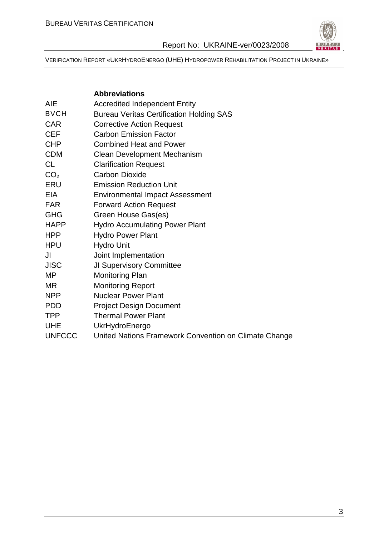

|                 | <b>Abbreviations</b>                                  |
|-----------------|-------------------------------------------------------|
| AIE             | <b>Accredited Independent Entity</b>                  |
| <b>BVCH</b>     | <b>Bureau Veritas Certification Holding SAS</b>       |
| <b>CAR</b>      | <b>Corrective Action Request</b>                      |
| <b>CEF</b>      | <b>Carbon Emission Factor</b>                         |
| <b>CHP</b>      | <b>Combined Heat and Power</b>                        |
| <b>CDM</b>      | <b>Clean Development Mechanism</b>                    |
| <b>CL</b>       | <b>Clarification Request</b>                          |
| CO <sub>2</sub> | <b>Carbon Dioxide</b>                                 |
| <b>ERU</b>      | <b>Emission Reduction Unit</b>                        |
| <b>EIA</b>      | <b>Environmental Impact Assessment</b>                |
| <b>FAR</b>      | <b>Forward Action Request</b>                         |
| <b>GHG</b>      | Green House Gas(es)                                   |
| <b>HAPP</b>     | <b>Hydro Accumulating Power Plant</b>                 |
| <b>HPP</b>      | <b>Hydro Power Plant</b>                              |
| <b>HPU</b>      | <b>Hydro Unit</b>                                     |
| JI.             | Joint Implementation                                  |
| <b>JISC</b>     | <b>JI Supervisory Committee</b>                       |
| МP              | <b>Monitoring Plan</b>                                |
| MR              | <b>Monitoring Report</b>                              |
| <b>NPP</b>      | <b>Nuclear Power Plant</b>                            |
| <b>PDD</b>      | <b>Project Design Document</b>                        |
| <b>TPP</b>      | <b>Thermal Power Plant</b>                            |
| <b>UHE</b>      | UkrHydroEnergo                                        |
| <b>UNFCCC</b>   | United Nations Framework Convention on Climate Change |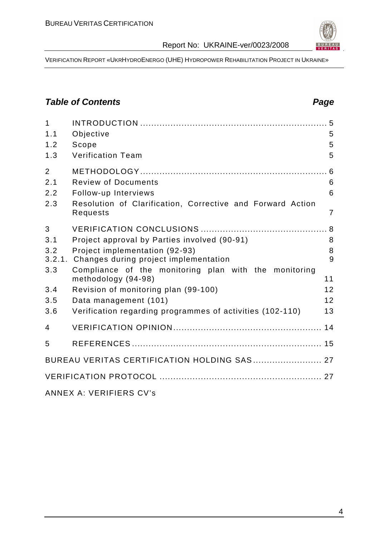

VERIFICATION REPORT «UKRHYDROENERGO (UHE) HYDROPOWER REHABILITATION PROJECT IN UKRAINE»

## **Table of Contents Page 2014**

| 1<br>1.1       |                                                                                                                                                                                                                                                                                                                                                                                                                                                             | 5              |
|----------------|-------------------------------------------------------------------------------------------------------------------------------------------------------------------------------------------------------------------------------------------------------------------------------------------------------------------------------------------------------------------------------------------------------------------------------------------------------------|----------------|
| 1.2            | Objective<br>Scope                                                                                                                                                                                                                                                                                                                                                                                                                                          | 5              |
| 1.3            | <b>Verification Team</b>                                                                                                                                                                                                                                                                                                                                                                                                                                    | 5              |
|                |                                                                                                                                                                                                                                                                                                                                                                                                                                                             |                |
| $\overline{2}$ |                                                                                                                                                                                                                                                                                                                                                                                                                                                             |                |
| 2.1            | <b>Review of Documents</b>                                                                                                                                                                                                                                                                                                                                                                                                                                  | 6              |
| 2.2            | Follow-up Interviews                                                                                                                                                                                                                                                                                                                                                                                                                                        | 6              |
| 2.3            | Resolution of Clarification, Corrective and Forward Action<br>Requests                                                                                                                                                                                                                                                                                                                                                                                      | $\overline{7}$ |
| 3              |                                                                                                                                                                                                                                                                                                                                                                                                                                                             |                |
| 3.1            | Project approval by Parties involved (90-91)                                                                                                                                                                                                                                                                                                                                                                                                                | 8              |
| 3.2            | Project implementation (92-93)                                                                                                                                                                                                                                                                                                                                                                                                                              | 8              |
| 3.2.1.         | Changes during project implementation                                                                                                                                                                                                                                                                                                                                                                                                                       | 9              |
| 3.3            | Compliance of the monitoring plan with the monitoring<br>methodology (94-98)                                                                                                                                                                                                                                                                                                                                                                                | 11             |
| 3.4            | Revision of monitoring plan (99-100)                                                                                                                                                                                                                                                                                                                                                                                                                        | 12             |
| 3.5            | Data management (101)                                                                                                                                                                                                                                                                                                                                                                                                                                       | 12             |
| 3.6            | Verification regarding programmes of activities (102-110)                                                                                                                                                                                                                                                                                                                                                                                                   | 13             |
| 4              |                                                                                                                                                                                                                                                                                                                                                                                                                                                             |                |
| 5              |                                                                                                                                                                                                                                                                                                                                                                                                                                                             |                |
|                | BUREAU VERITAS CERTIFICATION HOLDING SAS 27                                                                                                                                                                                                                                                                                                                                                                                                                 |                |
|                |                                                                                                                                                                                                                                                                                                                                                                                                                                                             |                |
|                | $\lambda$ , $\lambda$ , $\lambda$ , $\lambda$ , $\lambda$ , $\lambda$ , $\lambda$ , $\lambda$ , $\lambda$ , $\lambda$ , $\lambda$ , $\lambda$ , $\lambda$ , $\lambda$ , $\lambda$ , $\lambda$ , $\lambda$ , $\lambda$ , $\lambda$ , $\lambda$ , $\lambda$ , $\lambda$ , $\lambda$ , $\lambda$ , $\lambda$ , $\lambda$ , $\lambda$ , $\lambda$ , $\lambda$ , $\lambda$ , $\lambda$ , $\lambda$ , $\lambda$ , $\lambda$ , $\lambda$ , $\lambda$ , $\lambda$ , |                |

ANNEX A: VERIFIERS CV's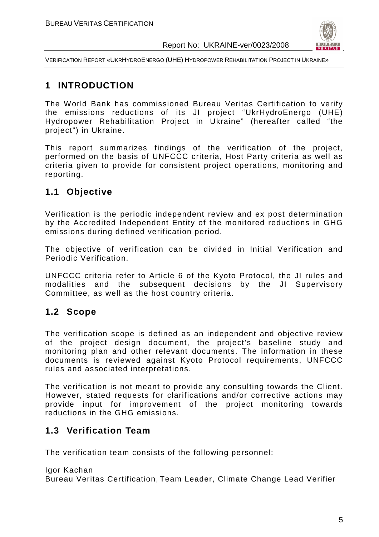

VERIFICATION REPORT «UKRHYDROENERGO (UHE) HYDROPOWER REHABILITATION PROJECT IN UKRAINE»

## **1 INTRODUCTION**

The World Bank has commissioned Bureau Veritas Certification to verify the emissions reductions of its JI project "UkrHydroEnergo (UHE) Hydropower Rehabilitation Project in Ukraine" (hereafter called "the project") in Ukraine.

This report summarizes findings of the verification of the project, performed on the basis of UNFCCC criteria, Host Party criteria as well as criteria given to provide for consistent project operations, monitoring and reporting.

## **1.1 Objective**

Verification is the periodic independent review and ex post determination by the Accredited Independent Entity of the monitored reductions in GHG emissions during defined verification period.

The objective of verification can be divided in Initial Verification and Periodic Verification.

UNFCCC criteria refer to Article 6 of the Kyoto Protocol, the JI rules and modalities and the subsequent decisions by the JI Supervisory Committee, as well as the host country criteria.

## **1.2 Scope**

The verification scope is defined as an independent and objective review of the project design document, the project's baseline study and monitoring plan and other relevant documents. The information in these documents is reviewed against Kyoto Protocol requirements, UNFCCC rules and associated interpretations.

The verification is not meant to provide any consulting towards the Client. However, stated requests for clarifications and/or corrective actions may provide input for improvement of the project monitoring towards reductions in the GHG emissions.

## **1.3 Verification Team**

The verification team consists of the following personnel:

Igor Kachan Bureau Veritas Certification, Team Leader, Climate Change Lead Verifier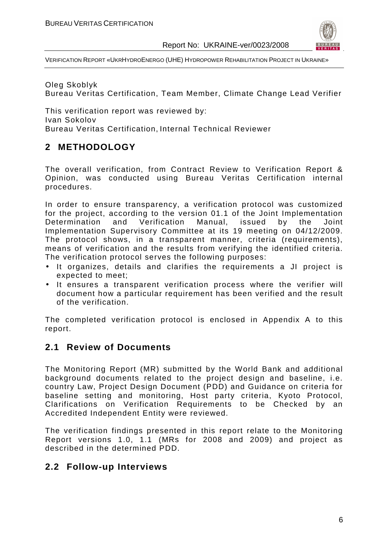

VERIFICATION REPORT «UKRHYDROENERGO (UHE) HYDROPOWER REHABILITATION PROJECT IN UKRAINE»

Oleg Skoblyk Bureau Veritas Certification, Team Member, Climate Change Lead Verifier

This verification report was reviewed by: Ivan Sokolov Bureau Veritas Certification, Internal Technical Reviewer

## **2 METHODOLOGY**

The overall verification, from Contract Review to Verification Report & Opinion, was conducted using Bureau Veritas Certification internal procedures.

In order to ensure transparency, a verification protocol was customized for the project, according to the version 01.1 of the Joint Implementation Determination and Verification Manual, issued by the Joint Implementation Supervisory Committee at its 19 meeting on 04/12/2009. The protocol shows, in a transparent manner, criteria (requirements), means of verification and the results from verifying the identified criteria. The verification protocol serves the following purposes:

- It organizes, details and clarifies the requirements a JI project is expected to meet;
- It ensures a transparent verification process where the verifier will document how a particular requirement has been verified and the result of the verification.

The completed verification protocol is enclosed in Appendix A to this report.

## **2.1 Review of Documents**

The Monitoring Report (MR) submitted by the World Bank and additional background documents related to the project design and baseline, i.e. country Law, Project Design Document (PDD) and Guidance on criteria for baseline setting and monitoring, Host party criteria, Kyoto Protocol, Clarifications on Verification Requirements to be Checked by an Accredited Independent Entity were reviewed.

The verification findings presented in this report relate to the Monitoring Report versions 1.0, 1.1 (MRs for 2008 and 2009) and project as described in the determined PDD.

## **2.2 Follow-up Interviews**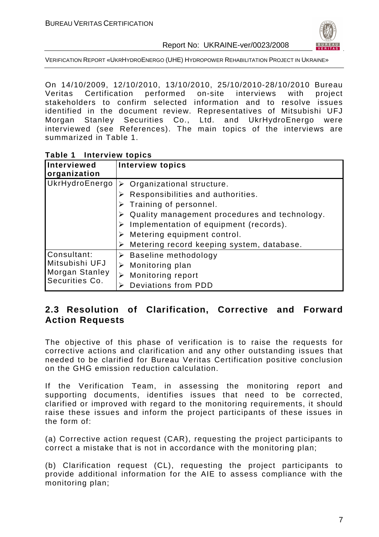

VERIFICATION REPORT «UKRHYDROENERGO (UHE) HYDROPOWER REHABILITATION PROJECT IN UKRAINE»

On 14/10/2009, 12/10/2010, 13/10/2010, 25/10/2010-28/10/2010 Bureau Veritas Certification performed on-site interviews with project stakeholders to confirm selected information and to resolve issues identified in the document review. Representatives of Mitsubishi UFJ Morgan Stanley Securities Co., Ltd. and UkrHydroEnergo were interviewed (see References). The main topics of the interviews are summarized in Table 1.

| Table 1 | <b>Interview topics</b> |  |
|---------|-------------------------|--|
|---------|-------------------------|--|

| Interviewed<br>organization                                       | <b>Interview topics</b>                                                                                                                                                                  |
|-------------------------------------------------------------------|------------------------------------------------------------------------------------------------------------------------------------------------------------------------------------------|
| UkrHydroEnergo                                                    | Organizational structure.<br>➤<br>Responsibilities and authorities.<br>Training of personnel.<br>Quality management procedures and technology.<br>Implementation of equipment (records). |
|                                                                   | Metering equipment control.<br>Metering record keeping system, database.                                                                                                                 |
| Consultant:<br>Mitsubishi UFJ<br>Morgan Stanley<br>Securities Co. | <b>Baseline methodology</b><br>Monitoring plan<br>Monitoring report<br><b>Deviations from PDD</b>                                                                                        |

## **2.3 Resolution of Clarification, Corrective and Forward Action Requests**

The objective of this phase of verification is to raise the requests for corrective actions and clarification and any other outstanding issues that needed to be clarified for Bureau Veritas Certification positive conclusion on the GHG emission reduction calculation.

If the Verification Team, in assessing the monitoring report and supporting documents, identifies issues that need to be corrected, clarified or improved with regard to the monitoring requirements, it should raise these issues and inform the project participants of these issues in the form of:

(a) Corrective action request (CAR), requesting the project participants to correct a mistake that is not in accordance with the monitoring plan;

(b) Clarification request (CL), requesting the project participants to provide additional information for the AIE to assess compliance with the monitoring plan;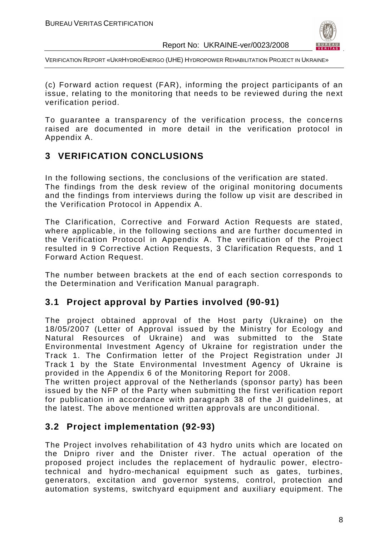

VERIFICATION REPORT «UKRHYDROENERGO (UHE) HYDROPOWER REHABILITATION PROJECT IN UKRAINE»

(c) Forward action request (FAR), informing the project participants of an issue, relating to the monitoring that needs to be reviewed during the next verification period.

To guarantee a transparency of the verification process, the concerns raised are documented in more detail in the verification protocol in Appendix A.

## **3 VERIFICATION CONCLUSIONS**

In the following sections, the conclusions of the verification are stated. The findings from the desk review of the original monitoring documents and the findings from interviews during the follow up visit are described in the Verification Protocol in Appendix A.

The Clarification, Corrective and Forward Action Requests are stated, where applicable, in the following sections and are further documented in the Verification Protocol in Appendix A. The verification of the Project resulted in 9 Corrective Action Requests, 3 Clarification Requests, and 1 Forward Action Request.

The number between brackets at the end of each section corresponds to the Determination and Verification Manual paragraph.

## **3.1 Project approval by Parties involved (90-91)**

The project obtained approval of the Host party (Ukraine) on the 18/05/2007 (Letter of Approval issued by the Ministry for Ecology and Natural Resources of Ukraine) and was submitted to the State Environmental Investment Agency of Ukraine for registration under the Track 1. The Confirmation letter of the Project Registration under JI Track 1 by the State Environmental Investment Agency of Ukraine is provided in the Appendix 6 of the Monitoring Report for 2008.

The written project approval of the Netherlands (sponsor party) has been issued by the NFP of the Party when submitting the first verification report for publication in accordance with paragraph 38 of the JI guidelines, at the latest. The above mentioned written approvals are unconditional.

## **3.2 Project implementation (92-93)**

The Project involves rehabilitation of 43 hydro units which are located on the Dnipro river and the Dnister river. The actual operation of the proposed project includes the replacement of hydraulic power, electrotechnical and hydro-mechanical equipment such as gates, turbines, generators, excitation and governor systems, control, protection and automation systems, switchyard equipment and auxiliary equipment. The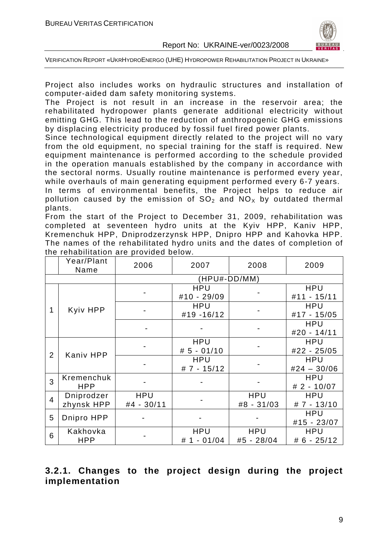

Project also includes works on hydraulic structures and installation of computer-aided dam safety monitoring systems.

The Project is not result in an increase in the reservoir area; the rehabilitated hydropower plants generate additional electricity without emitting GHG. This lead to the reduction of anthropogenic GHG emissions by displacing electricity produced by fossil fuel fired power plants.

Since technological equipment directly related to the project will no vary from the old equipment, no special training for the staff is required. New equipment maintenance is performed according to the schedule provided in the operation manuals established by the company in accordance with the sectoral norms. Usually routine maintenance is performed every year, while overhauls of main generating equipment performed every 6-7 years.

In terms of environmental benefits, the Project helps to reduce air pollution caused by the emission of  $SO<sub>2</sub>$  and  $NO<sub>x</sub>$  by outdated thermal plants.

From the start of the Project to December 31, 2009, rehabilitation was completed at seventeen hydro units at the Kyiv HPP, Kaniv HPP, Kremenchuk HPP, Dniprodzerzynsk HPP, Dnipro HPP and Kahovka HPP. The names of the rehabilitated hydro units and the dates of completion of the rehabilitation are provided below.

|                | Year/Plant<br>Name | 2006       | 2009          |            |               |
|----------------|--------------------|------------|---------------|------------|---------------|
|                |                    |            | (HPU#-DD/MM)  |            |               |
|                |                    |            | <b>HPU</b>    |            | <b>HPU</b>    |
|                |                    |            | #10 - 29/09   |            | #11 - 15/11   |
| 1              | <b>Kyiv HPP</b>    |            | <b>HPU</b>    |            | <b>HPU</b>    |
|                |                    |            | #19 -16/12    |            | #17 - 15/05   |
|                |                    |            |               |            | <b>HPU</b>    |
|                |                    |            |               |            | #20 - 14/11   |
|                |                    |            | <b>HPU</b>    |            | <b>HPU</b>    |
| 2              | <b>Kaniv HPP</b>   |            | $# 5 - 01/10$ |            | #22 - 25/05   |
|                |                    |            | <b>HPU</b>    |            | <b>HPU</b>    |
|                |                    |            | $# 7 - 15/12$ |            | $#24 - 30/06$ |
| 3              | Kremenchuk         |            |               |            | <b>HPU</b>    |
|                | <b>HPP</b>         |            |               |            | $# 2 - 10/07$ |
| $\overline{4}$ | Dniprodzer         | <b>HPU</b> |               | <b>HPU</b> | <b>HPU</b>    |
|                | zhynsk HPP         | #4 - 30/11 |               | #8 - 31/03 | $# 7 - 13/10$ |
| 5              | Dnipro HPP         |            |               |            | <b>HPU</b>    |
|                |                    |            |               |            | #15 - 23/07   |
| 6              | Kakhovka           |            | <b>HPU</b>    | <b>HPU</b> | <b>HPU</b>    |
|                | <b>HPP</b>         |            | # 1 - 01/04   | #5 - 28/04 | $# 6 - 25/12$ |

## **3.2.1. Changes to the project design during the project implementation**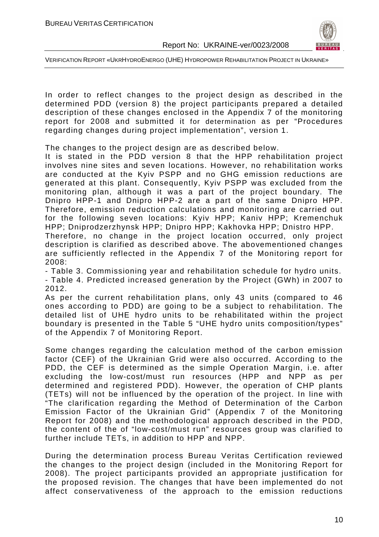

In order to reflect changes to the project design as described in the determined PDD (version 8) the project participants prepared a detailed description of these changes enclosed in the Appendix 7 of the monitoring report for 2008 and submitted it for determination as per "Procedures regarding changes during project implementation", version 1.

The changes to the project design are as described below.

It is stated in the PDD version 8 that the HPP rehabilitation project involves nine sites and seven locations. However, no rehabilitation works are conducted at the Kyiv PSPP and no GHG emission reductions are generated at this plant. Consequently, Kyiv PSPP was excluded from the monitoring plan, although it was a part of the project boundary. The Dnipro HPP-1 and Dnipro HPP-2 are a part of the same Dnipro HPP. Therefore, emission reduction calculations and monitoring are carried out for the following seven locations: Kyiv HPP; Kaniv HPP; Kremenchuk HPP; Dniprodzerzhynsk HPP; Dnipro HPP; Kakhovka HPP; Dnistro HPP.

Therefore, no change in the project location occurred, only project description is clarified as described above. The abovementioned changes are sufficiently reflected in the Appendix 7 of the Monitoring report for 2008:

- Table 3. Commissioning year and rehabilitation schedule for hydro units. - Table 4. Predicted increased generation by the Project (GWh) in 2007 to 2012.

As per the current rehabilitation plans, only 43 units (compared to 46 ones according to PDD) are going to be a subject to rehabilitation. The detailed list of UHE hydro units to be rehabilitated within the project boundary is presented in the Table 5 "UHE hydro units composition/types" of the Appendix 7 of Monitoring Report.

Some changes regarding the calculation method of the carbon emission factor (CEF) of the Ukrainian Grid were also occurred. According to the PDD, the CEF is determined as the simple Operation Margin, i.e. after excluding the low-cost/must run resources (HPP and NPP as per determined and registered PDD). However, the operation of CHP plants (TETs) will not be influenced by the operation of the project. In line with "The clarification regarding the Method of Determination of the Carbon Emission Factor of the Ukrainian Grid" (Appendix 7 of the Monitoring Report for 2008) and the methodological approach described in the PDD, the content of the of "low-cost/must run" resources group was clarified to further include TETs, in addition to HPP and NPP.

During the determination process Bureau Veritas Certification reviewed the changes to the project design (included in the Monitoring Report for 2008). The project participants provided an appropriate justification for the proposed revision. The changes that have been implemented do not affect conservativeness of the approach to the emission reductions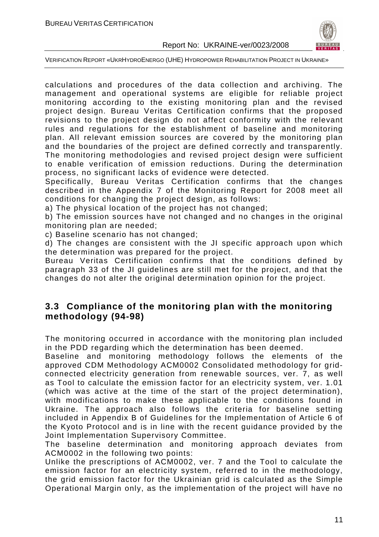

VERIFICATION REPORT «UKRHYDROENERGO (UHE) HYDROPOWER REHABILITATION PROJECT IN UKRAINE»

calculations and procedures of the data collection and archiving. The management and operational systems are eligible for reliable project monitoring according to the existing monitoring plan and the revised project design. Bureau Veritas Certification confirms that the proposed revisions to the project design do not affect conformity with the relevant rules and regulations for the establishment of baseline and monitoring plan. All relevant emission sources are covered by the monitoring plan and the boundaries of the project are defined correctly and transparently. The monitoring methodologies and revised project design were sufficient to enable verification of emission reductions. During the determination process, no significant lacks of evidence were detected.

Specifically, Bureau Veritas Certification confirms that the changes described in the Appendix 7 of the Monitoring Report for 2008 meet all conditions for changing the project design, as follows:

a) The physical location of the project has not changed;

b) The emission sources have not changed and no changes in the original monitoring plan are needed;

c) Baseline scenario has not changed;

d) The changes are consistent with the JI specific approach upon which the determination was prepared for the project.

Bureau Veritas Certification confirms that the conditions defined by paragraph 33 of the JI guidelines are still met for the project, and that the changes do not alter the original determination opinion for the project.

#### **3.3 Compliance of the monitoring plan with the monitoring methodology (94-98)**

The monitoring occurred in accordance with the monitoring plan included in the PDD regarding which the determination has been deemed.

Baseline and monitoring methodology follows the elements of the approved CDM Methodology ACM0002 Consolidated methodology for gridconnected electricity generation from renewable sources, ver. 7, as well as Tool to calculate the emission factor for an electricity system, ver. 1.01 (which was active at the time of the start of the project determination), with modifications to make these applicable to the conditions found in Ukraine. The approach also follows the criteria for baseline setting included in Appendix B of Guidelines for the Implementation of Article 6 of the Kyoto Protocol and is in line with the recent guidance provided by the Joint Implementation Supervisory Committee.

The baseline determination and monitoring approach deviates from ACM0002 in the following two points:

Unlike the prescriptions of ACM0002, ver. 7 and the Tool to calculate the emission factor for an electricity system, referred to in the methodology, the grid emission factor for the Ukrainian grid is calculated as the Simple Operational Margin only, as the implementation of the project will have no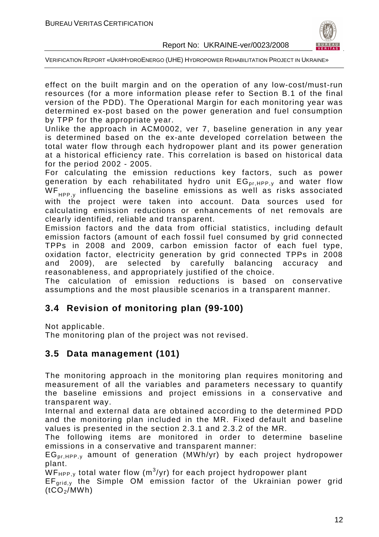

VERIFICATION REPORT «UKRHYDROENERGO (UHE) HYDROPOWER REHABILITATION PROJECT IN UKRAINE»

effect on the built margin and on the operation of any low-cost/must-run resources (for a more information please refer to Section B.1 of the final version of the PDD). The Operational Margin for each monitoring year was determined ex-post based on the power generation and fuel consumption by TPP for the appropriate year.

Unlike the approach in ACM0002, ver 7, baseline generation in any year is determined based on the ex-ante developed correlation between the total water flow through each hydropower plant and its power generation at a historical efficiency rate. This correlation is based on historical data for the period 2002 - 2005.

For calculating the emission reductions key factors, such as power generation by each rehabilitated hydro unit  $EG_{pr,HPP,y}$  and water flow  $WF_{HPP}$ , influencing the baseline emissions as well as risks associated with the project were taken into account. Data sources used for calculating emission reductions or enhancements of net removals are clearly identified, reliable and transparent.

Emission factors and the data from official statistics, including default emission factors (amount of each fossil fuel consumed by grid connected TPPs in 2008 and 2009, carbon emission factor of each fuel type, oxidation factor, electricity generation by grid connected TPPs in 2008 and 2009), are selected by carefully balancing accuracy and reasonableness, and appropriately justified of the choice.

The calculation of emission reductions is based on conservative assumptions and the most plausible scenarios in a transparent manner.

## **3.4 Revision of monitoring plan (99-100)**

Not applicable.

The monitoring plan of the project was not revised.

## **3.5 Data management (101)**

The monitoring approach in the monitoring plan requires monitoring and measurement of all the variables and parameters necessary to quantify the baseline emissions and project emissions in a conservative and transparent way.

Internal and external data are obtained according to the determined PDD and the monitoring plan included in the MR. Fixed default and baseline values is presented in the section 2.3.1 and 2.3.2 of the MR.

The following items are monitored in order to determine baseline emissions in a conservative and transparent manner:

 $EG_{\text{pr.HPP,y}}$  amount of generation (MWh/yr) by each project hydropower plant.

 $\overline{\mathsf{W}}$ F<sub>HPP,y</sub> total water flow (m $^3$ /yr) for each project hydropower plant

 $EF_{grid,v}$  the Simple OM emission factor of the Ukrainian power grid  $(tCO<sub>2</sub>/MWh)$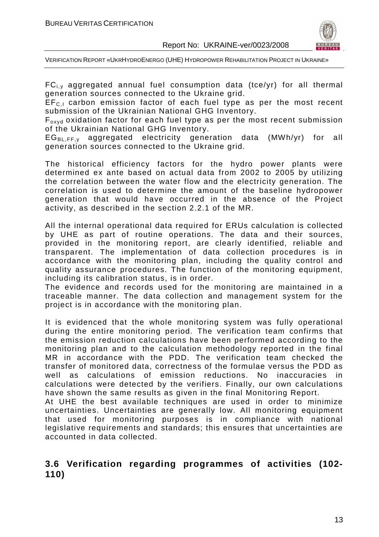

 $FC_{i,y}$  aggregated annual fuel consumption data (tce/yr) for all thermal generation sources connected to the Ukraine grid.

 $EF_{C,I}$  carbon emission factor of each fuel type as per the most recent submission of the Ukrainian National GHG Inventory.

Foxyd oxidation factor for each fuel type as per the most recent submission of the Ukrainian National GHG Inventory.

 $EG_{BL,FF,v}$  aggregated electricity generation data (MWh/yr) for all generation sources connected to the Ukraine grid.

The historical efficiency factors for the hydro power plants were determined ex ante based on actual data from 2002 to 2005 by utilizing the correlation between the water flow and the electricity generation. The correlation is used to determine the amount of the baseline hydropower generation that would have occurred in the absence of the Project activity, as described in the section 2.2.1 of the MR.

All the internal operational data required for ERUs calculation is collected by UHE as part of routine operations. The data and their sources, provided in the monitoring report, are clearly identified, reliable and transparent. The implementation of data collection procedures is in accordance with the monitoring plan, including the quality control and quality assurance procedures. The function of the monitoring equipment, including its calibration status, is in order.

The evidence and records used for the monitoring are maintained in a traceable manner. The data collection and management system for the project is in accordance with the monitoring plan.

It is evidenced that the whole monitoring system was fully operational during the entire monitoring period. The verification team confirms that the emission reduction calculations have been performed according to the monitoring plan and to the calculation methodology reported in the final MR in accordance with the PDD. The verification team checked the transfer of monitored data, correctness of the formulae versus the PDD as well as calculations of emission reductions. No inaccuracies in calculations were detected by the verifiers. Finally, our own calculations have shown the same results as given in the final Monitoring Report.

At UHE the best available techniques are used in order to minimize uncertainties. Uncertainties are generally low. All monitoring equipment that used for monitoring purposes is in compliance with national legislative requirements and standards; this ensures that uncertainties are accounted in data collected.

#### **3.6 Verification regarding programmes of activities (102- 110)**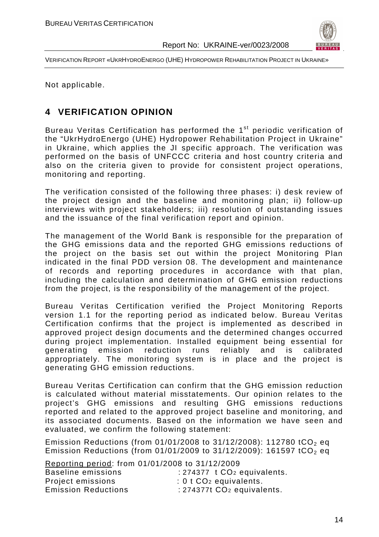

Not applicable.

## **4 VERIFICATION OPINION**

Bureau Veritas Certification has performed the 1<sup>st</sup> periodic verification of the "UkrHydroEnergo (UHE) Hydropower Rehabilitation Project in Ukraine" in Ukraine, which applies the JI specific approach. The verification was performed on the basis of UNFCCC criteria and host country criteria and also on the criteria given to provide for consistent project operations, monitoring and reporting.

The verification consisted of the following three phases: i) desk review of the project design and the baseline and monitoring plan; ii) follow-up interviews with project stakeholders; iii) resolution of outstanding issues and the issuance of the final verification report and opinion.

The management of the World Bank is responsible for the preparation of the GHG emissions data and the reported GHG emissions reductions of the project on the basis set out within the project Monitoring Plan indicated in the final PDD version 08. The development and maintenance of records and reporting procedures in accordance with that plan, including the calculation and determination of GHG emission reductions from the project, is the responsibility of the management of the project.

Bureau Veritas Certification verified the Project Monitoring Reports version 1.1 for the reporting period as indicated below. Bureau Veritas Certification confirms that the project is implemented as described in approved project design documents and the determined changes occurred during project implementation. Installed equipment being essential for generating emission reduction runs reliably and is calibrated appropriately. The monitoring system is in place and the project is generating GHG emission reductions.

Bureau Veritas Certification can confirm that the GHG emission reduction is calculated without material misstatements. Our opinion relates to the project's GHG emissions and resulting GHG emissions reductions reported and related to the approved project baseline and monitoring, and its associated documents. Based on the information we have seen and evaluated, we confirm the following statement:

Emission Reductions (from  $01/01/2008$  to  $31/12/2008$ ): 112780 tCO<sub>2</sub> eq Emission Reductions (from 01/01/2009 to 31/12/2009): 161597 tCO<sub>2</sub> eq.

Reporting period: from 01/01/2008 to 31/12/2009

| Baseline emissions         | $: 274377$ t $CO2$ equivalents.      |
|----------------------------|--------------------------------------|
| Project emissions          | $: 0$ t CO <sub>2</sub> equivalents. |
| <b>Emission Reductions</b> | : $274377t$ $CO2$ equivalents.       |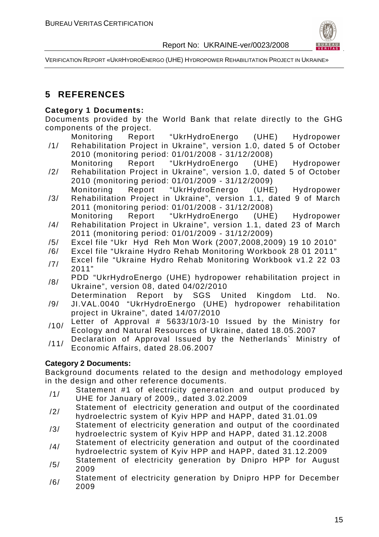

## **5 REFERENCES**

#### **Category 1 Documents:**

Documents provided by the World Bank that relate directly to the GHG components of the project.

- /1/ Monitoring Report "UkrHydroEnergo (UHE) Hydropower Rehabilitation Project in Ukraine", version 1.0, dated 5 of October 2010 (monitoring period: 01/01/2008 - 31/12/2008)
- /2/ Monitoring Report "UkrHydroEnergo (UHE) Hydropower Rehabilitation Project in Ukraine", version 1.0, dated 5 of October 2010 (monitoring period: 01/01/2009 - 31/12/2009)
- /3/ Monitoring Report "UkrHydroEnergo (UHE) Hydropower Rehabilitation Project in Ukraine", version 1.1, dated 9 of March 2011 (monitoring period: 01/01/2008 - 31/12/2008)
- /4/ Monitoring Report "UkrHydroEnergo (UHE) Hydropower Rehabilitation Project in Ukraine", version 1.1, dated 23 of March 2011 (monitoring period: 01/01/2009 - 31/12/2009)
- /5/ Excel file "Ukr Hyd Reh Mon Work (2007,2008,2009) 19 10 2010"
- /6/ Excel file "Ukraine Hydro Rehab Monitoring Workbook 28 01 2011"
- **Excel file "Ukraine Hydro Rehab Monitoring Workbook v1.2 22 03** 2011"
- /8/ PDD "UkrHydroEnergo (UHE) hydropower rehabilitation project in Ukraine", version 08, dated 04/02/2010
- /9/ Determination Report by SGS United Kingdom Ltd. No. JI.VAL.0040 "UkrHydroEnergo (UHE) hydropower rehabilitation project in Ukraine", dated 14/07/2010
- $/10/$  Letter of Approval # 5633/10/3-10 Issued by the Ministry for Ecology and Natural Resources of Ukraine, dated 18.05.2007
- /11/ Declaration of Approval Issued by the Netherlands` Ministry of Economic Affairs, dated 28.06.2007

#### **Category 2 Documents:**

Background documents related to the design and methodology employed in the design and other reference documents.

- /1/ Statement #1 of electricity generation and output produced by UHE for January of 2009,, dated 3.02.2009
- /2/ Statement of electricity generation and output of the coordinated hydroelectric system of Kyiv HPP and HAPP, dated 31.01.09
- /3/ Statement of electricity generation and output of the coordinated hydroelectric system of Kyiv HPP and HAPP, dated 31.12.2008
- /4/ Statement of electricity generation and output of the coordinated hydroelectric system of Kyiv HPP and HAPP, dated 31.12.2009
- /5/ Statement of electricity generation by Dnipro HPP for August 2009
- /6/ Statement of electricity generation by Dnipro HPP for December 2009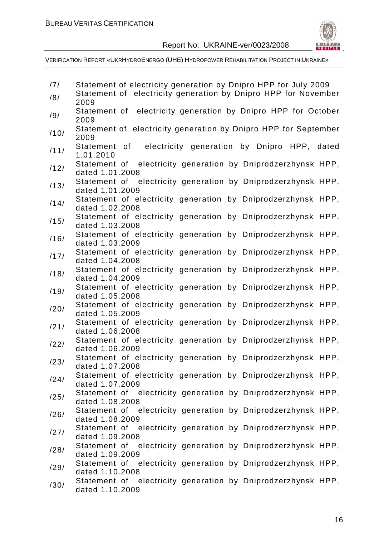

| /7/  | Statement of electricity generation by Dnipro HPP for July 2009                                    |
|------|----------------------------------------------------------------------------------------------------|
| /8/  | Statement of electricity generation by Dnipro HPP for November<br>2009                             |
| /9/  | Statement of electricity generation by Dnipro HPP for October<br>2009                              |
| /10/ | Statement of electricity generation by Dnipro HPP for September<br>2009                            |
| /11/ | electricity generation by Dnipro HPP, dated<br>Statement of<br>1.01.2010                           |
| /12/ | Statement of electricity generation by Dniprodzerzhynsk HPP,<br>dated 1.01.2008                    |
| /13/ | Statement of electricity generation by Dniprodzerzhynsk HPP,<br>dated 1.01.2009                    |
| /14/ | Statement of electricity generation by Dniprodzerzhynsk HPP,<br>dated 1.02.2008                    |
| /15/ | Statement of electricity generation by Dniprodzerzhynsk HPP,<br>dated 1.03.2008                    |
| /16/ | Statement of electricity generation by Dniprodzerzhynsk HPP,<br>dated 1.03.2009                    |
| /17/ | Statement of electricity generation by Dniprodzerzhynsk HPP,<br>dated 1.04.2008                    |
| /18/ | Statement of electricity generation by Dniprodzerzhynsk HPP,<br>dated 1.04.2009                    |
| /19/ | Statement of electricity generation by Dniprodzerzhynsk HPP,<br>dated 1.05.2008                    |
| /20/ | Statement of electricity generation by Dniprodzerzhynsk HPP,<br>dated 1.05.2009                    |
| /21/ | Statement of electricity generation by Dniprodzerzhynsk HPP,<br>dated 1.06.2008                    |
| /22/ | Statement of electricity generation by Dniprodzerzhynsk HPP,<br>dated 1.06.2009                    |
| /23/ | Statement of electricity generation by Dniprodzerzhynsk HPP,<br>dated 1.07.2008                    |
| /24/ | Statement of electricity generation by Dniprodzerzhynsk HPP,<br>dated 1.07.2009                    |
| /25/ | Statement of electricity generation by Dniprodzerzhynsk HPP,<br>dated 1.08.2008                    |
| /26/ | Statement of electricity generation by Dniprodzerzhynsk HPP,<br>dated 1.08.2009                    |
| /27/ | Statement of electricity generation by Dniprodzerzhynsk HPP,                                       |
| /28/ | dated 1.09.2008<br>Statement of electricity generation by Dniprodzerzhynsk HPP,                    |
| /29/ | dated 1.09.2009<br>Statement of electricity generation by Dniprodzerzhynsk HPP,                    |
| /30/ | dated 1.10.2008<br>Statement of electricity generation by Dniprodzerzhynsk HPP,<br>dated 1.10.2009 |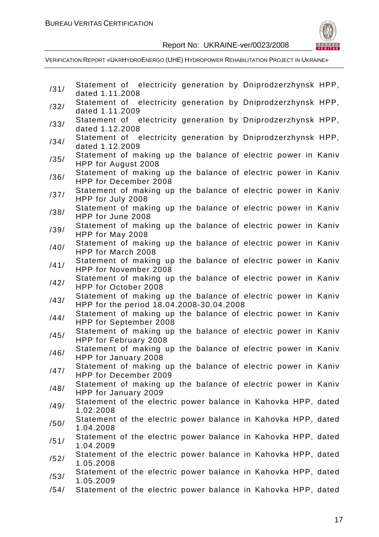

| /31/ | Statement of electricity generation by Dniprodzerzhynsk HPP,<br>dated 1.11.2008                           |
|------|-----------------------------------------------------------------------------------------------------------|
| /32/ | Statement of electricity generation by Dniprodzerzhynsk HPP,                                              |
|      | dated 1.11.2009                                                                                           |
| /33/ | Statement of electricity generation by Dniprodzerzhynsk HPP,<br>dated 1.12.2008                           |
| /34/ | Statement of electricity generation by Dniprodzerzhynsk HPP,<br>dated 1.12.2009                           |
| /35/ | Statement of making up the balance of electric power in Kaniv<br>HPP for August 2008                      |
| /36/ | Statement of making up the balance of electric power in Kaniv<br><b>HPP for December 2008</b>             |
| /37/ | Statement of making up the balance of electric power in Kaniv<br>HPP for July 2008                        |
| /38/ | Statement of making up the balance of electric power in Kaniv<br>HPP for June 2008                        |
| /39/ | Statement of making up the balance of electric power in Kaniv<br>HPP for May 2008                         |
| /40/ | Statement of making up the balance of electric power in Kaniv<br>HPP for March 2008                       |
| /41/ | Statement of making up the balance of electric power in Kaniv<br>HPP for November 2008                    |
| /42/ | Statement of making up the balance of electric power in Kaniv<br>HPP for October 2008                     |
| /43/ | Statement of making up the balance of electric power in Kaniv                                             |
|      | HPP for the period 18.04.2008-30.04.2008<br>Statement of making up the balance of electric power in Kaniv |
| /44/ | HPP for September 2008                                                                                    |
| /45/ | Statement of making up the balance of electric power in Kaniv<br>HPP for February 2008                    |
| /46/ | Statement of making up the balance of electric power in Kaniv                                             |
|      | HPP for January 2008<br>Statement of making up the balance of electric power in Kaniv                     |
| /47/ | HPP for December 2009                                                                                     |
| /48/ | Statement of making up the balance of electric power in Kaniv                                             |
|      | HPP for January 2009<br>Statement of the electric power balance in Kahovka HPP, dated                     |
| /49/ | 1.02.2008                                                                                                 |
| /50/ | Statement of the electric power balance in Kahovka HPP, dated<br>1.04.2008                                |
| /51/ | Statement of the electric power balance in Kahovka HPP, dated<br>1.04.2009                                |
| /52/ | Statement of the electric power balance in Kahovka HPP, dated<br>1.05.2008                                |
| /53/ | Statement of the electric power balance in Kahovka HPP, dated<br>1.05.2009                                |
| /54/ | Statement of the electric power balance in Kahovka HPP, dated                                             |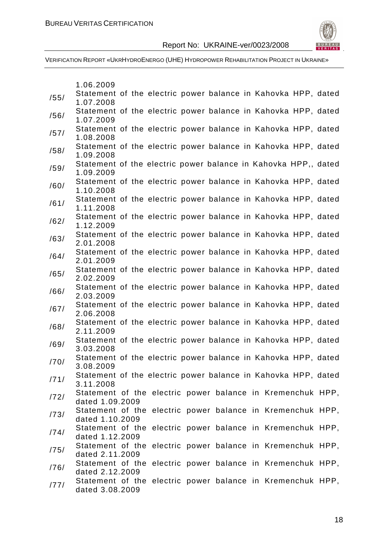



|      | 1.06.2009                                                                     |  |  |  |  |  |
|------|-------------------------------------------------------------------------------|--|--|--|--|--|
| /55/ | Statement of the electric power balance in Kahovka HPP, dated                 |  |  |  |  |  |
|      | 1.07.2008                                                                     |  |  |  |  |  |
| /56/ | Statement of the electric power balance in Kahovka HPP, dated                 |  |  |  |  |  |
|      | 1.07.2009<br>Statement of the electric power balance in Kahovka HPP, dated    |  |  |  |  |  |
| /57/ | 1.08.2008                                                                     |  |  |  |  |  |
|      | Statement of the electric power balance in Kahovka HPP, dated                 |  |  |  |  |  |
| /58/ | 1.09.2008                                                                     |  |  |  |  |  |
| /59/ | Statement of the electric power balance in Kahovka HPP,, dated                |  |  |  |  |  |
|      | 1.09.2009                                                                     |  |  |  |  |  |
| /60/ | Statement of the electric power balance in Kahovka HPP, dated                 |  |  |  |  |  |
|      | 1.10.2008<br>Statement of the electric power balance in Kahovka HPP, dated    |  |  |  |  |  |
| /61/ | 1.11.2008                                                                     |  |  |  |  |  |
|      | Statement of the electric power balance in Kahovka HPP, dated                 |  |  |  |  |  |
| /62/ | 1.12.2009                                                                     |  |  |  |  |  |
| /63/ | Statement of the electric power balance in Kahovka HPP, dated                 |  |  |  |  |  |
|      | 2.01.2008                                                                     |  |  |  |  |  |
| /64/ | Statement of the electric power balance in Kahovka HPP, dated<br>2.01.2009    |  |  |  |  |  |
|      | Statement of the electric power balance in Kahovka HPP, dated                 |  |  |  |  |  |
| /65/ | 2.02.2009                                                                     |  |  |  |  |  |
| /66/ | Statement of the electric power balance in Kahovka HPP, dated                 |  |  |  |  |  |
|      | 2.03.2009                                                                     |  |  |  |  |  |
| /67/ | Statement of the electric power balance in Kahovka HPP, dated                 |  |  |  |  |  |
|      | 2.06.2008<br>Statement of the electric power balance in Kahovka HPP, dated    |  |  |  |  |  |
| /68/ | 2.11.2009                                                                     |  |  |  |  |  |
| /69/ | Statement of the electric power balance in Kahovka HPP, dated                 |  |  |  |  |  |
|      | 3.03.2008                                                                     |  |  |  |  |  |
| /70/ | Statement of the electric power balance in Kahovka HPP, dated                 |  |  |  |  |  |
|      | 3.08.2009<br>Statement of the electric power balance in Kahovka HPP, dated    |  |  |  |  |  |
| /71/ | 3.11.2008                                                                     |  |  |  |  |  |
|      | Statement of the electric power balance in Kremenchuk HPP,                    |  |  |  |  |  |
| 1721 | dated 1.09.2009                                                               |  |  |  |  |  |
| /73/ | Statement of the electric power balance in Kremenchuk HPP,                    |  |  |  |  |  |
|      | dated 1.10.2009                                                               |  |  |  |  |  |
| /74/ | Statement of the electric power balance in Kremenchuk HPP,<br>dated 1.12.2009 |  |  |  |  |  |
| /75/ | Statement of the electric power balance in Kremenchuk HPP,                    |  |  |  |  |  |
|      | dated 2.11.2009                                                               |  |  |  |  |  |
| /76/ | Statement of the electric power balance in Kremenchuk HPP,                    |  |  |  |  |  |
|      | dated 2.12.2009                                                               |  |  |  |  |  |
| /77/ | Statement of the electric power balance in Kremenchuk HPP,                    |  |  |  |  |  |
|      | dated 3.08.2009                                                               |  |  |  |  |  |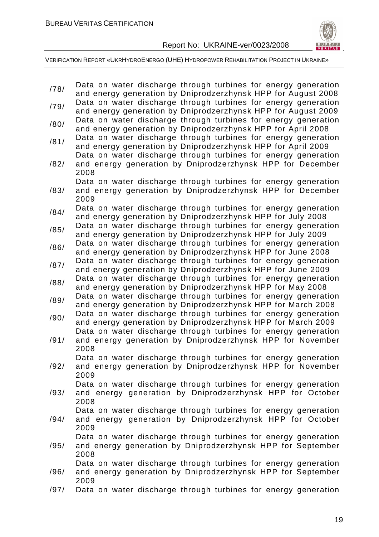

/78/ Data on water discharge through turbines for energy generation and energy generation by Dniprodzerzhynsk HPP for August 2008 /79/ Data on water discharge through turbines for energy generation and energy generation by Dniprodzerzhynsk HPP for August 2009 /80/ Data on water discharge through turbines for energy generation and energy generation by Dniprodzerzhynsk HPP for April 2008 /81/ Data on water discharge through turbines for energy generation and energy generation by Dniprodzerzhynsk HPP for April 2009 /82/ Data on water discharge through turbines for energy generation and energy generation by Dniprodzerzhynsk HPP for December 2008 /83/ Data on water discharge through turbines for energy generation and energy generation by Dniprodzerzhynsk HPP for December 2009 /84/ Data on water discharge through turbines for energy generation and energy generation by Dniprodzerzhynsk HPP for July 2008 /85/ Data on water discharge through turbines for energy generation and energy generation by Dniprodzerzhynsk HPP for July 2009 /86/ Data on water discharge through turbines for energy generation and energy generation by Dniprodzerzhynsk HPP for June 2008 /87/ Data on water discharge through turbines for energy generation and energy generation by Dniprodzerzhynsk HPP for June 2009 /88/ Data on water discharge through turbines for energy generation and energy generation by Dniprodzerzhynsk HPP for May 2008 /89/ Data on water discharge through turbines for energy generation and energy generation by Dniprodzerzhynsk HPP for March 2008 /90/ Data on water discharge through turbines for energy generation and energy generation by Dniprodzerzhynsk HPP for March 2009 /91/ Data on water discharge through turbines for energy generation and energy generation by Dniprodzerzhynsk HPP for November 2008 /92/ Data on water discharge through turbines for energy generation and energy generation by Dniprodzerzhynsk HPP for November 2009 /93/ Data on water discharge through turbines for energy generation and energy generation by Dniprodzerzhynsk HPP for October 2008 /94/ Data on water discharge through turbines for energy generation and energy generation by Dniprodzerzhynsk HPP for October 2009 /95/ Data on water discharge through turbines for energy generation and energy generation by Dniprodzerzhynsk HPP for September 2008 /96/ Data on water discharge through turbines for energy generation and energy generation by Dniprodzerzhynsk HPP for September 2009 /97/ Data on water discharge through turbines for energy generation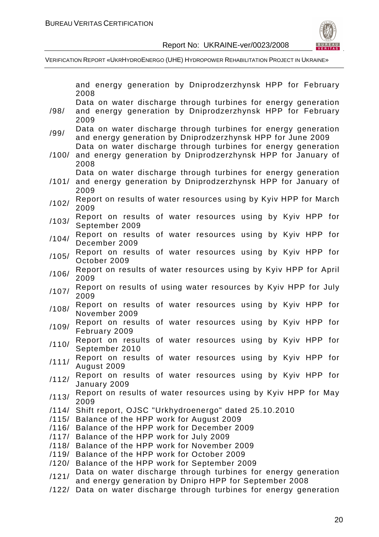

|       | and energy generation by Dniprodzerzhynsk HPP for February                 |
|-------|----------------------------------------------------------------------------|
|       | 2008                                                                       |
|       | Data on water discharge through turbines for energy generation             |
| /98/  | and energy generation by Dniprodzerzhynsk HPP for February                 |
|       | 2009                                                                       |
| /99/  | Data on water discharge through turbines for energy generation             |
|       | and energy generation by Dniprodzerzhynsk HPP for June 2009                |
|       | Data on water discharge through turbines for energy generation             |
| /100/ | and energy generation by Dniprodzerzhynsk HPP for January of               |
|       | 2008                                                                       |
|       | Data on water discharge through turbines for energy generation             |
| /101/ | and energy generation by Dniprodzerzhynsk HPP for January of               |
|       | 2009                                                                       |
| /102/ | Report on results of water resources using by Kyiv HPP for March<br>2009   |
|       | Report on results of water resources using by Kyiv HPP for                 |
| /103/ | September 2009                                                             |
|       | Report on results of water resources using by Kyiv HPP for                 |
| /104/ | December 2009                                                              |
|       | Report on results of water resources using by Kyiv HPP for                 |
| /105/ | October 2009                                                               |
|       | Report on results of water resources using by Kyiv HPP for April           |
| /106/ | 2009                                                                       |
| /107/ | Report on results of using water resources by Kyiv HPP for July            |
|       | 2009                                                                       |
| /108/ | Report on results of water resources using by Kyiv HPP for                 |
|       | November 2009                                                              |
| /109/ | Report on results of water resources using by Kyiv HPP for                 |
|       | February 2009                                                              |
| /110/ | Report on results of water resources using by Kyiv HPP for                 |
|       | September 2010                                                             |
| /111/ | Report on results of water resources using by Kyiv HPP for                 |
|       | August 2009                                                                |
| /112/ | Report on results of water resources using by Kyiv HPP for<br>January 2009 |
|       | Report on results of water resources using by Kyiv HPP for May             |
| /113/ | 2009                                                                       |
|       | /114/ Shift report, OJSC "Urkhydroenergo" dated 25.10.2010                 |
|       | /115/ Balance of the HPP work for August 2009                              |
|       | /116/ Balance of the HPP work for December 2009                            |
|       | /117/ Balance of the HPP work for July 2009                                |
|       | /118/ Balance of the HPP work for November 2009                            |
|       | /119/ Balance of the HPP work for October 2009                             |
|       | /120/ Balance of the HPP work for September 2009                           |
|       | Data on water discharge through turbines for energy generation             |
| /121/ | and energy generation by Dnipro HPP for September 2008                     |
| /122/ | Data on water discharge through turbines for energy generation             |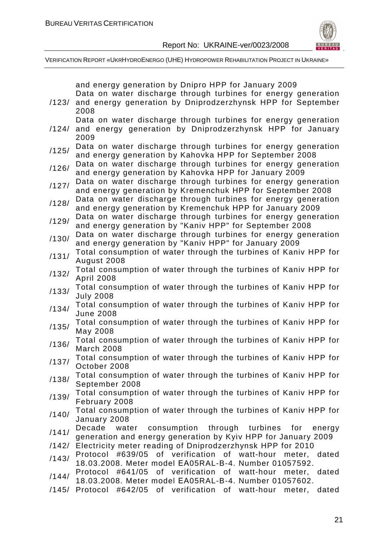

|       | and energy generation by Dnipro HPP for January 2009<br>Data on water discharge through turbines for energy generation       |
|-------|------------------------------------------------------------------------------------------------------------------------------|
| /123/ | and energy generation by Dniprodzerzhynsk HPP for September<br>2008                                                          |
|       | Data on water discharge through turbines for energy generation                                                               |
| /124/ | and energy generation by Dniprodzerzhynsk HPP for January<br>2009                                                            |
| /125/ | Data on water discharge through turbines for energy generation<br>and energy generation by Kahovka HPP for September 2008    |
| /126/ | Data on water discharge through turbines for energy generation                                                               |
|       | and energy generation by Kahovka HPP for January 2009                                                                        |
| /127/ | Data on water discharge through turbines for energy generation<br>and energy generation by Kremenchuk HPP for September 2008 |
| /128/ | Data on water discharge through turbines for energy generation                                                               |
|       | and energy generation by Kremenchuk HPP for January 2009<br>Data on water discharge through turbines for energy generation   |
| /129/ | and energy generation by "Kaniv HPP" for September 2008                                                                      |
| /130/ | Data on water discharge through turbines for energy generation<br>and energy generation by "Kaniv HPP" for January 2009      |
| /131/ | Total consumption of water through the turbines of Kaniv HPP for                                                             |
|       | August 2008<br>Total consumption of water through the turbines of Kaniv HPP for                                              |
| /132/ | <b>April 2008</b>                                                                                                            |
| /133/ | Total consumption of water through the turbines of Kaniv HPP for<br><b>July 2008</b>                                         |
| /134/ | Total consumption of water through the turbines of Kaniv HPP for<br><b>June 2008</b>                                         |
| /135/ | Total consumption of water through the turbines of Kaniv HPP for<br>May 2008                                                 |
| /136/ | Total consumption of water through the turbines of Kaniv HPP for<br><b>March 2008</b>                                        |
| /137/ | Total consumption of water through the turbines of Kaniv HPP for<br>October 2008                                             |
| /138/ | Total consumption of water through the turbines of Kaniv HPP for<br>September 2008                                           |
| /139/ | Total consumption of water through the turbines of Kaniv HPP for<br>February 2008                                            |
| /140/ | Total consumption of water through the turbines of Kaniv HPP for<br>January 2008                                             |
| /141/ | Decade<br>consumption through turbines for<br>water<br>energy                                                                |
| /142/ | generation and energy generation by Kyiv HPP for January 2009<br>Electricity meter reading of Dniprodzerzhynsk HPP for 2010  |
| /143/ | Protocol #639/05 of verification of watt-hour<br>meter, dated                                                                |
|       | 18.03.2008. Meter model EA05RAL-B-4. Number 01057592.<br>Protocol #641/05 of verification of watt-hour meter, dated          |
| /144/ | 18.03.2008. Meter model EA05RAL-B-4. Number 01057602.                                                                        |
| /145/ | Protocol #642/05 of verification of watt-hour meter, dated                                                                   |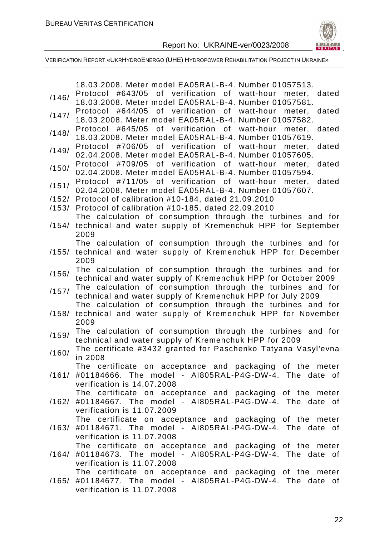

|                | 18.03.2008. Meter model EA05RAL-B-4. Number 01057513.                                                                                                 |
|----------------|-------------------------------------------------------------------------------------------------------------------------------------------------------|
| /146/          | Protocol #643/05 of verification of watt-hour meter, dated<br>18.03.2008. Meter model EA05RAL-B-4. Number 01057581.                                   |
| /147/          | Protocol #644/05 of verification of watt-hour meter,<br>dated<br>18.03.2008. Meter model EA05RAL-B-4. Number 01057582.                                |
| /148/          | Protocol #645/05 of verification of watt-hour meter, dated<br>18.03.2008. Meter model EA05RAL-B-4. Number 01057619.                                   |
| /149/          | #706/05 of verification of watt-hour<br>dated<br>Protocol<br>meter,                                                                                   |
| /150/          | 02.04.2008. Meter model EA05RAL-B-4. Number 01057605.<br>Protocol #709/05 of verification of watt-hour meter, dated                                   |
|                | 02.04.2008. Meter model EA05RAL-B-4. Number 01057594.<br>Protocol #711/05 of verification of watt-hour meter, dated                                   |
| /151/          | 02.04.2008. Meter model EA05RAL-B-4. Number 01057607.                                                                                                 |
| /152/<br>/153/ | Protocol of calibration #10-184, dated 21.09.2010<br>Protocol of calibration #10-185, dated 22.09.2010                                                |
|                | The calculation of consumption through the turbines and for                                                                                           |
|                | /154/ technical and water supply of Kremenchuk HPP for September<br>2009                                                                              |
|                | The calculation of consumption through the turbines and for<br>/155/ technical and water supply of Kremenchuk HPP for December<br>2009                |
| /156/          | The calculation of consumption through the turbines and for<br>technical and water supply of Kremenchuk HPP for October 2009                          |
| /157/          | The calculation of consumption through the turbines and for<br>technical and water supply of Kremenchuk HPP for July 2009                             |
| /158/          | The calculation of consumption through the turbines and for<br>technical and water supply of Kremenchuk HPP for November<br>2009                      |
| /159/          | The calculation of consumption through the turbines and for<br>technical and water supply of Kremenchuk HPP for 2009                                  |
| /160/          | The certificate #3432 granted for Paschenko Tatyana Vasyl'evna<br>in 2008                                                                             |
| /161/          | The certificate on acceptance and packaging of the meter<br>#01184666. The model - AI805RAL-P4G-DW-4. The date of<br>verification is 14.07.2008       |
| /162/          | The certificate on acceptance and packaging of the meter<br>#01184667. The model - AI805RAL-P4G-DW-4. The date of                                     |
|                | verification is 11.07.2009<br>The certificate on acceptance and packaging of the meter<br>/163/ #01184671. The model - AI805RAL-P4G-DW-4. The date of |
|                | verification is 11.07.2008<br>The certificate on acceptance and packaging of the meter                                                                |
| /164/          | #01184673. The model - AI805RAL-P4G-DW-4. The date of<br>verification is 11.07.2008                                                                   |
|                | The certificate on acceptance and packaging of the meter<br>/165/ #01184677. The model - AI805RAL-P4G-DW-4. The date of<br>verification is 11.07.2008 |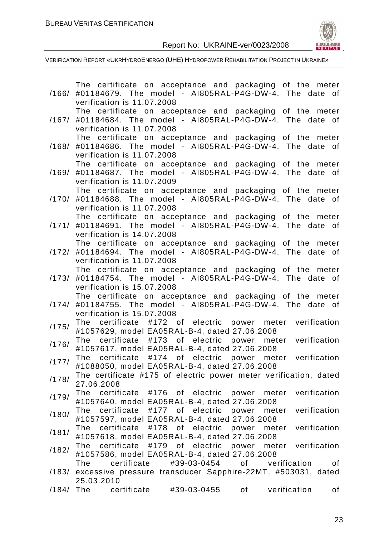

|             | The certificate on acceptance and packaging of the meter                 |
|-------------|--------------------------------------------------------------------------|
| /166/       | #01184679. The model - AI805RAL-P4G-DW-4. The date of                    |
|             | verification is 11.07.2008                                               |
|             | The certificate on acceptance and packaging of the meter                 |
| /167/       | #01184684. The model - AI805RAL-P4G-DW-4. The date of                    |
|             | verification is 11.07.2008                                               |
|             | The certificate on acceptance and packaging of the meter                 |
| /168/       | #01184686. The model - AI805RAL-P4G-DW-4. The date of                    |
|             | verification is 11.07.2008                                               |
|             | The certificate on acceptance and packaging of the meter                 |
| /169/       | #01184687. The model - AI805RAL-P4G-DW-4. The date of                    |
|             | verification is 11.07.2009                                               |
|             | The certificate on acceptance and packaging of the meter                 |
| /170/       | #01184688. The model - AI805RAL-P4G-DW-4. The date of                    |
|             | verification is 11.07.2008                                               |
|             | The certificate on acceptance and packaging of the meter                 |
| /171/       | #01184691. The model - AI805RAL-P4G-DW-4. The date of                    |
|             | verification is 14.07.2008                                               |
|             | The certificate on acceptance and packaging of the meter                 |
| /172/       | #01184694. The model - AI805RAL-P4G-DW-4. The date of                    |
|             | verification is 11.07.2008                                               |
|             | The certificate on acceptance and packaging of the meter                 |
| /173/       | #01184754. The model - AI805RAL-P4G-DW-4. The date of                    |
|             | verification is 15.07.2008                                               |
|             | The certificate on acceptance and packaging of the meter                 |
| /174/       | #01184755. The model - AI805RAL-P4G-DW-4. The date of                    |
|             | verification is 15.07.2008                                               |
| /175/       | #172 of electric power meter verification<br>certificate<br>The          |
|             | #1057629, model EA05RAL-B-4, dated 27.06.2008                            |
| /176/       | The certificate #173 of electric<br>power meter verification             |
|             | #1057617, model EA05RAL-B-4, dated 27.06.2008                            |
| /177/       | The certificate #174 of electric<br>power meter verification             |
|             | #1088050, model EA05RAL-B-4, dated 27.06.2008                            |
| /178/       | The certificate #175 of electric power meter verification, dated         |
|             | 27.06.2008                                                               |
| /179/       | The certificate #176 of electric power meter<br>verification             |
|             | #1057640, model EA05RAL-B-4, dated 27.06.2008                            |
| /180/       | verification<br>certificate<br>#177 of electric<br>The<br>power<br>meter |
|             | #1057597, model EA05RAL-B-4, dated 27.06.2008                            |
| /181/       | certificate<br>The<br>#178 of electric<br>power meter verification       |
|             | #1057618, model EA05RAL-B-4, dated 27.06.2008                            |
| /182/       | #179 of electric power meter verification<br>certificate<br>The          |
|             | #1057586, model EA05RAL-B-4, dated 27.06.2008                            |
|             | certificate<br>#39-03-0454<br>of<br>verification<br>The<br>οf            |
|             | /183/ excessive pressure transducer Sapphire-22MT, #503031, dated        |
|             | 25.03.2010                                                               |
| $/184/$ The | certificate<br>#39-03-0455<br>verification<br>of<br>of                   |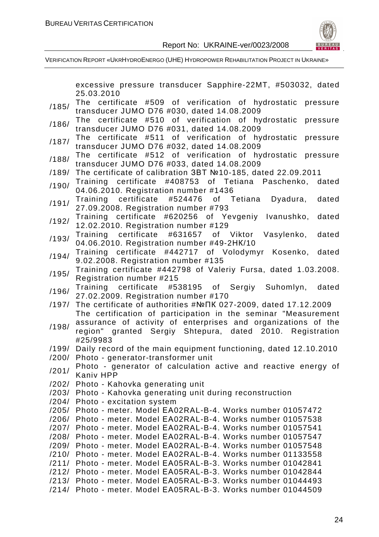

VERIFICATION REPORT «UKRHYDROENERGO (UHE) HYDROPOWER REHABILITATION PROJECT IN UKRAINE»

excessive pressure transducer Sapphire-22MT, #503032, dated

25.03.2010 /185/ The certificate #509 of verification of hydrostatic pressure transducer JUMO D76 #030, dated 14.08.2009 /186/ The certificate #510 of verification of hydrostatic pressure transducer JUMO D76 #031, dated 14.08.2009 /187/ The certificate #511 of verification of hydrostatic pressure transducer JUMO D76 #032, dated 14.08.2009 /188/ The certificate #512 of verification of hydrostatic pressure transducer JUMO D76 #033, dated 14.08.2009 /189/ The certificate of calibration ЗВТ №10-185, dated 22.09.2011 /190/ Training certificate #408753 of Tetiana Paschenko, dated 04.06.2010. Registration number #1436 /191/ Training certificate #524476 of Tetiana Dyadura, dated 27.09.2008. Registration number #793 /192/ Training certificate #620256 of Yevgeniy Ivanushko, dated 12.02.2010. Registration number #129 /193/ Training certificate #631657 of Viktor Vasylenko, dated 04.06.2010. Registration number #49-2НК/10 /194/ Training certificate #442717 of Volodymyr Kosenko, dated 9.02.2008. Registration number #135 /195/ Training certificate #442798 of Valeriy Fursa, dated 1.03.2008. Registration number #215 /196/ Training certificate #538195 of Sergiy Suhomlyn, dated 27.02.2009. Registration number #170 /197/ The certificate of authorities #№ПК 027-2009, dated 17.12.2009 /198/ The certification of participation in the seminar "Measurement assurance of activity of enterprises and organizations of the region" granted Sergiy Shtepura, dated 2010. Registration #25/9983 /199/ Daily record of the main equipment functioning, dated 12.10.2010 /200/ Photo - generator-transformer unit /201/ Photo - generator of calculation active and reactive energy of Kaniv HPP /202/ Photo - Kahovka generating unit /203/ Photo - Kahovka generating unit during reconstruction /204/ Photo - excitation system /205/ Photo - meter. Model ЕА02RAL-B-4. Works number 01057472 /206/ Photo - meter. Model ЕА02RAL-B-4. Works number 01057538 /207/ Photo - meter. Model ЕА02RAL-B-4. Works number 01057541 /208/ Photo - meter. Model ЕА02RAL-B-4. Works number 01057547 /209/ Photo - meter. Model ЕА02RAL-B-4. Works number 01057548 /210/ Photo - meter. Model ЕА02RAL-B-4. Works number 01133558 /211/ Photo - meter. Model ЕА05RAL-B-3. Works number 01042841 /212/ Photo - meter. Model ЕА05RAL-B-3. Works number 01042844 /213/ Photo - meter. Model ЕА05RAL-B-3. Works number 01044493 /214/ Photo - meter. Model ЕА05RAL-B-3. Works number 01044509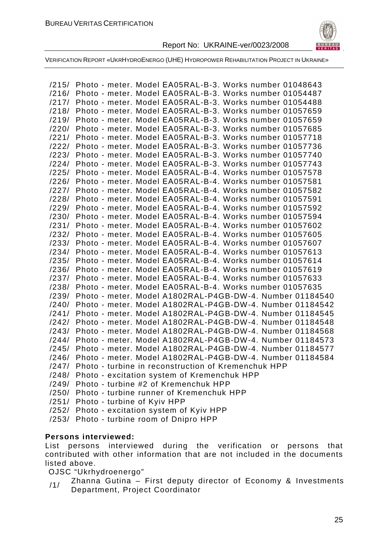

VERIFICATION REPORT «UKRHYDROENERGO (UHE) HYDROPOWER REHABILITATION PROJECT IN UKRAINE»

|       | /215/ Photo - meter. Model EA05RAL-B-3. Works number 01048643 |
|-------|---------------------------------------------------------------|
| /216/ | Photo - meter. Model EA05RAL-B-3. Works number 01054487       |
| /217/ | Photo - meter. Model EA05RAL-B-3. Works number 01054488       |
| /218/ | Photo - meter. Model EA05RAL-B-3. Works number 01057659       |
| /219/ | Photo - meter. Model EA05RAL-B-3. Works number 01057659       |
| /220/ | Photo - meter. Model EA05RAL-B-3. Works number 01057685       |
| /221/ | Photo - meter. Model EA05RAL-B-3. Works number 01057718       |
| /222/ | Photo - meter. Model EA05RAL-B-3. Works number 01057736       |
| /223/ | Photo - meter. Model EA05RAL-B-3. Works number 01057740       |
| /224/ | Photo - meter. Model EA05RAL-B-3. Works number 01057743       |
| /225/ | Photo - meter. Model EA05RAL-B-4. Works number 01057578       |
| /226/ | Photo - meter. Model EA05RAL-B-4. Works number 01057581       |
| /227/ | Photo - meter. Model EA05RAL-B-4. Works number 01057582       |
| /228/ | Photo - meter. Model EA05RAL-B-4. Works number 01057591       |
| /229/ | Photo - meter. Model EA05RAL-B-4. Works number 01057592       |
| /230/ | Photo - meter. Model EA05RAL-B-4. Works number 01057594       |
| /231/ | Photo - meter. Model EA05RAL-B-4. Works number 01057602       |
| /232/ | Photo - meter. Model EA05RAL-B-4. Works number 01057605       |
| /233/ | Photo - meter. Model EA05RAL-B-4. Works number 01057607       |
| /234/ | Photo - meter. Model EA05RAL-B-4. Works number 01057613       |
| /235/ | Photo - meter. Model EA05RAL-B-4. Works number 01057614       |
| /236/ | Photo - meter. Model EA05RAL-B-4. Works number 01057619       |
| /237/ | Photo - meter. Model EA05RAL-B-4. Works number 01057633       |
| /238/ | Photo - meter. Model EA05RAL-B-4. Works number 01057635       |
| /239/ | Photo - meter. Model A1802RAL-P4GB-DW-4. Number 01184540      |
| /240/ | Photo - meter. Model A1802RAL-P4GB-DW-4. Number 01184542      |
| /241/ | Photo - meter. Model A1802RAL-P4GB-DW-4. Number 01184545      |
| /242/ | Photo - meter. Model A1802RAL-P4GB-DW-4. Number 01184548      |
| /243/ | Photo - meter. Model A1802RAL-P4GB-DW-4. Number 01184568      |
| /244/ | Photo - meter. Model A1802RAL-P4GB-DW-4. Number 01184573      |
| /245/ | Photo - meter. Model A1802RAL-P4GB-DW-4. Number 01184577      |
| /246/ | Photo - meter. Model A1802RAL-P4GB-DW-4. Number 01184584      |
|       | /247/ Photo - turbine in reconstruction of Kremenchuk HPP     |
| /248/ | Photo - excitation system of Kremenchuk HPP                   |
|       | /249/ Photo - turbine #2 of Kremenchuk HPP                    |
|       | /250/ Photo - turbine runner of Kremenchuk HPP                |
|       | /251/ Photo - turbine of Kyiv HPP                             |
|       | /252/ Photo - excitation system of Kyiv HPP                   |
| /253/ | Photo - turbine room of Dnipro HPP                            |

#### **Persons interviewed:**

List persons interviewed during the verification or persons that contributed with other information that are not included in the documents listed above.

OJSC "Ukrhydroenergo"

/1/ Zhanna Gutina – First deputy director of Economy & Investments Department, Project Coordinator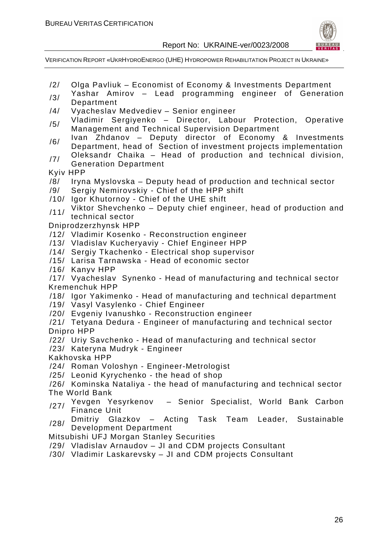

VERIFICATION REPORT «UKRHYDROENERGO (UHE) HYDROPOWER REHABILITATION PROJECT IN UKRAINE»

- /2/ Olga Pavliuk Economist of Economy & Investments Department
- $/3/$  Yashar Amirov Lead programming engineer of Generation Department
- /4/ Vyacheslav Medvediev Senior engineer
- /5/ Vladimir Sergiyenko Director, Labour Protection, Operative Management and Technical Supervision Department
- /6/ Ivan Zhdanov Deputy director of Economy & Investments Department, head of Section of investment projects implementation
- $/7/$  Oleksandr Chaika Head of production and technical division, Generation Department
- Kyiv HPP
- /8/ Iryna Myslovska Deputy head of production and technical sector
- /9/ Sergiy Nemirovskiy Chief of the HPP shift
- /10/ Igor Khutornoy Chief of the UHE shift
- /11/ Viktor Shevchenko Deputy chief engineer, head of production and technical sector

Dniprodzerzhynsk HPP

- /12/ Vladimir Kosenko Reconstruction engineer
- /13/ Vladislav Kucheryaviy Chief Engineer HPP
- /14/ Sergiy Tkachenko Electrical shop supervisor
- /15/ Larisa Tarnawska Head of economic sector
- /16/ Kanyv HPP

/17/ Vyacheslav Synenko - Head of manufacturing and technical sector Kremenchuk HPP

- /18/ Igor Yakimenko Head of manufacturing and technical department
- /19/ Vasyl Vasylenko Chief Engineer
- /20/ Evgeniy Ivanushko Reconstruction engineer
- /21/ Tetyana Dedura Engineer of manufacturing and technical sector Dnipro HPP
- /22/ Uriy Savchenko Head of manufacturing and technical sector
- /23/ Kateryna Mudryk Engineer
- Kakhovska HPP
- /24/ Roman Voloshyn Engineer-Metrologist
- /25/ Leonid Kyrychenko the head of shop
- /26/ Kominska Nataliya the head of manufacturing and technical sector The World Bank
- /27/ Yevgen Yesyrkenov Senior Specialist, World Bank Carbon Finance Unit
- <sub>/28</sub>/ Dmitriy Glazkov Acting Task Team Leader, Sustainable Development Department

Mitsubishi UFJ Morgan Stanley Securities

- /29/ Vladislav Arnaudov JI and CDM projects Consultant
- /30/ Vladimir Laskarevsky JI and CDM projects Consultant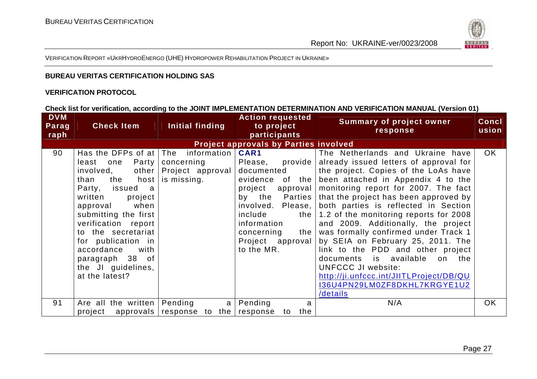

VERIFICATION REPORT «UKRHYDROENERGO (UHE) <sup>H</sup>YDROPOWER REHABILITATION PROJECT IN UKRAINE»

#### **BUREAU VERITAS CERTIFICATION HOLDING SAS**

#### **VERIFICATION PROTOCOL**

#### **Check list for verification, according to the JOINT IMPLEMENTATION DETERMINATION AND VERIFICATION MANUAL (Version 01)**

| <b>DVM</b><br>Parag<br>raph | <b>Check Item</b>                                                                                                                                                                                                                                                                                                                              | Initial finding                                              | <b>Action requested</b><br>to project<br>participants                                                                                                                  | <b>Summary of project owner</b><br>response                                                                                                                                                                                                                                                                                                                                                                                                                                                                                                                                                                                                                                              | <b>Concl</b><br>usion |
|-----------------------------|------------------------------------------------------------------------------------------------------------------------------------------------------------------------------------------------------------------------------------------------------------------------------------------------------------------------------------------------|--------------------------------------------------------------|------------------------------------------------------------------------------------------------------------------------------------------------------------------------|------------------------------------------------------------------------------------------------------------------------------------------------------------------------------------------------------------------------------------------------------------------------------------------------------------------------------------------------------------------------------------------------------------------------------------------------------------------------------------------------------------------------------------------------------------------------------------------------------------------------------------------------------------------------------------------|-----------------------|
|                             |                                                                                                                                                                                                                                                                                                                                                |                                                              | <b>Project approvals by Parties involved</b>                                                                                                                           |                                                                                                                                                                                                                                                                                                                                                                                                                                                                                                                                                                                                                                                                                          |                       |
| 90                          | Has the DFPs of at $ $ The information $ $<br>Party  <br>least one<br>involved,<br>the<br>host  <br>than<br>Party, issued a<br>written<br>project<br>approval when<br>submitting the first<br>verification report<br>to the secretariat<br>for publication in<br>accordance<br>with<br>paragraph 38 of<br>the JI guidelines,<br>at the latest? | concerning<br>other   Project approval  <br>is missing.      | <b>CAR1</b><br>Please, provide<br>documented<br>project<br>involved. Please,<br>include<br>the  <br>information<br>concerning<br>the<br>Project approval<br>to the MR. | The Netherlands and Ukraine have<br>already issued letters of approval for<br>the project. Copies of the LoAs have<br>evidence of the been attached in Appendix 4 to the<br>approval   monitoring report for 2007. The fact<br>by the Parties   that the project has been approved by<br>both parties is reflected in Section<br>1.2 of the monitoring reports for 2008<br>and 2009. Additionally, the project<br>was formally confirmed under Track 1<br>by SEIA on February 25, 2011. The<br>link to the PDD and other project<br>documents is available<br>on the<br><b>UNFCCC JI website:</b><br>http://ji.unfccc.int/JIITLProject/DB/QU<br>I36U4PN29LM0ZF8DKHL7KRGYE1U2<br>/details | <b>OK</b>             |
| 91                          | Are all the written   Pending<br>project                                                                                                                                                                                                                                                                                                       | a <sub>l</sub><br>approvals $ $ response to the $ $ response | Pending<br>a<br>to the                                                                                                                                                 | N/A                                                                                                                                                                                                                                                                                                                                                                                                                                                                                                                                                                                                                                                                                      | <b>OK</b>             |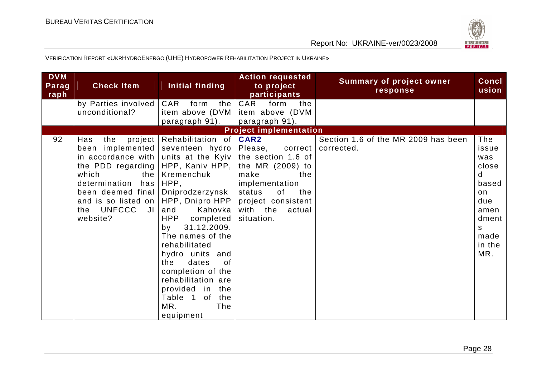

| <b>DVM</b><br>Parag<br>raph | <b>Check Item</b>                                                                                                                                                                                                   | Initial finding                                                                                                                                                                                                                                                                                                                                                                                      | <b>Action requested</b><br>to project<br>participants                                                                                                                                  | <b>Summary of project owner</b><br>response       | Concl<br>usion                                                                                         |
|-----------------------------|---------------------------------------------------------------------------------------------------------------------------------------------------------------------------------------------------------------------|------------------------------------------------------------------------------------------------------------------------------------------------------------------------------------------------------------------------------------------------------------------------------------------------------------------------------------------------------------------------------------------------------|----------------------------------------------------------------------------------------------------------------------------------------------------------------------------------------|---------------------------------------------------|--------------------------------------------------------------------------------------------------------|
|                             | by Parties involved<br>unconditional?                                                                                                                                                                               | CAR<br>form<br>the<br>item above (DVM<br>paragraph 91).                                                                                                                                                                                                                                                                                                                                              | CAR<br>form<br>the<br>item above (DVM<br>paragraph 91).                                                                                                                                |                                                   |                                                                                                        |
|                             |                                                                                                                                                                                                                     |                                                                                                                                                                                                                                                                                                                                                                                                      | <b>Project implementation</b>                                                                                                                                                          |                                                   |                                                                                                        |
| 92                          | Has<br>the<br>been implemented<br>in accordance with<br>the PDD regarding  <br>which<br>determination<br>has<br>been deemed final<br>and is so listed on   HPP, Dnipro HPP<br>UNFCCC<br>$J\vert$<br>the<br>website? | project   Rehabilitation of  <br>seventeen hydro<br>units at the Kyiv<br>HPP, Kaniv HPP,<br>the   Kremenchuk<br>HPP,<br>Dniprodzerzynsk<br>Kahovka<br>and<br>completed<br>HPP<br>31.12.2009.<br>by<br>The names of the<br>rehabilitated<br>hydro units and<br>dates<br>the<br>0f<br>completion of the<br>rehabilitation are<br>provided in<br>the<br>0f<br>the<br>Table 1<br>MR.<br>The<br>equipment | CAR2<br>Please,<br>correct<br>the section 1.6 of<br>the MR (2009) to<br>make<br>the<br>implementation<br>of<br>status<br>the<br>project consistent<br>with the<br>actual<br>situation. | Section 1.6 of the MR 2009 has been<br>corrected. | The<br>issue<br>was<br>close<br>d<br>based<br>on<br>due<br>amen<br>dment<br>S<br>made<br>in the<br>MR. |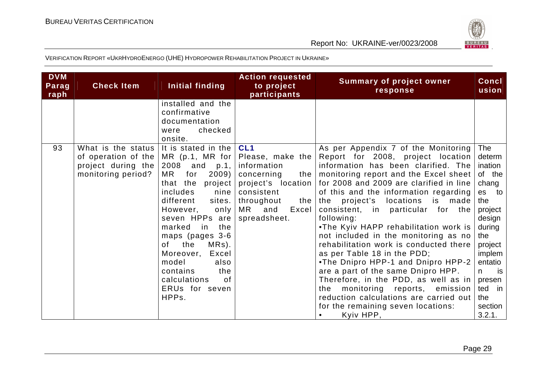

| <b>DVM</b><br>Parag<br>raph | <b>Check Item</b>                                                                     | Initial finding                                                                                                                                                                                                                                                                                                                                                    | <b>Action requested</b><br>to project<br>participants                                                                                                                  | <b>Summary of project owner</b><br>response                                                                                                                                                                                                                                                                                                                                                                                                                                                                                                                                                                                                                                                                                                             |                                                                                                                                                                                               |  |
|-----------------------------|---------------------------------------------------------------------------------------|--------------------------------------------------------------------------------------------------------------------------------------------------------------------------------------------------------------------------------------------------------------------------------------------------------------------------------------------------------------------|------------------------------------------------------------------------------------------------------------------------------------------------------------------------|---------------------------------------------------------------------------------------------------------------------------------------------------------------------------------------------------------------------------------------------------------------------------------------------------------------------------------------------------------------------------------------------------------------------------------------------------------------------------------------------------------------------------------------------------------------------------------------------------------------------------------------------------------------------------------------------------------------------------------------------------------|-----------------------------------------------------------------------------------------------------------------------------------------------------------------------------------------------|--|
|                             |                                                                                       | installed and the<br>confirmative<br>documentation<br>checked<br>were<br>onsite.                                                                                                                                                                                                                                                                                   |                                                                                                                                                                        |                                                                                                                                                                                                                                                                                                                                                                                                                                                                                                                                                                                                                                                                                                                                                         |                                                                                                                                                                                               |  |
| 93                          | What is the status<br>of operation of the<br>project during the<br>monitoring period? | It is stated in the<br>MR (p.1, MR for<br>2008 and p.1,<br>2009)<br>MR<br>for<br>that the<br>project<br>includes<br>nine<br>different<br>sites.<br>However,<br>only<br>seven HPPs are<br>the<br>marked<br>in<br>maps (pages 3-6<br>the<br>MRs).<br>of l<br>Excel<br>Moreover,<br>model<br>also<br>contains<br>the<br>calculations<br>of<br>ERUs for seven<br>HPPs. | CL <sub>1</sub><br>Please, make the<br>information<br>concerning<br>the<br>project's location<br>consistent<br>throughout<br>the<br>MR<br>Excel<br>and<br>spreadsheet. | As per Appendix 7 of the Monitoring<br>Report for 2008, project location<br>information has been clarified. The<br>monitoring report and the Excel sheet<br>for 2008 and 2009 are clarified in line<br>of this and the information regarding<br>the project's locations is made<br>consistent, in particular for the<br>following:<br>.The Kyiv HAPP rehabilitation work is<br>not included in the monitoring as no<br>rehabilitation work is conducted there<br>as per Table 18 in the PDD;<br>.The Dnipro HPP-1 and Dnipro HPP-2<br>are a part of the same Dnipro HPP.<br>Therefore, in the PDD, as well as in<br>monitoring reports,<br>emission<br>the<br>reduction calculations are carried out<br>for the remaining seven locations:<br>Kyiv HPP, | The<br>determ<br>ination<br>of the<br>chang<br>es to<br>the<br>project<br>design<br>during<br>the<br>project<br>implem<br>entatio<br>is<br>n.<br>presen<br>ted in<br>the<br>section<br>3.2.1. |  |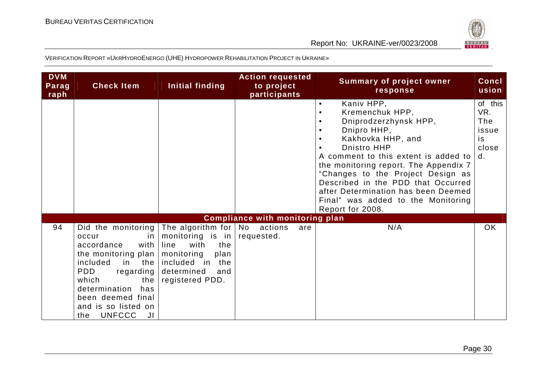

| <b>DVM</b><br>Parag<br>raph | <b>Check Item</b>                                                                                                                                                                                                                                                                   | Initial finding                                                                                                              | <b>Action requested</b><br>to project<br>participants | <b>Summary of project owner</b><br>response                                                                                                                                                                                                                                                                                                                                         | <b>Concl</b><br>usion                               |
|-----------------------------|-------------------------------------------------------------------------------------------------------------------------------------------------------------------------------------------------------------------------------------------------------------------------------------|------------------------------------------------------------------------------------------------------------------------------|-------------------------------------------------------|-------------------------------------------------------------------------------------------------------------------------------------------------------------------------------------------------------------------------------------------------------------------------------------------------------------------------------------------------------------------------------------|-----------------------------------------------------|
|                             |                                                                                                                                                                                                                                                                                     |                                                                                                                              |                                                       | Kaniv HPP,<br>$\bullet$<br>Kremenchuk HPP,<br>Dniprodzerzhynsk HPP,<br>Dnipro HHP,<br>Kakhovka HHP, and<br>Dnistro HHP<br>A comment to this extent is added to<br>the monitoring report. The Appendix 7<br>"Changes to the Project Design as<br>Described in the PDD that Occurred<br>after Determination has been Deemed<br>Final" was added to the Monitoring<br>Report for 2008. | of this<br>VR.<br>The<br>issue<br>is<br>close<br>d. |
|                             |                                                                                                                                                                                                                                                                                     |                                                                                                                              | <b>Compliance with monitoring plan</b>                |                                                                                                                                                                                                                                                                                                                                                                                     |                                                     |
| 94                          | Did the monitoring The algorithm for $\vert$ No actions<br>occur<br>in.<br>accordance<br>with<br>the monitoring plan<br>included<br>in<br><b>PDD</b><br>regarding<br>which<br>the<br>determination<br>has<br>been deemed final<br>and is so listed on<br><b>UNFCCC</b><br>JI<br>the | monitoring is in<br>with<br>the<br>line<br>plan<br>monitoring<br>the included in the<br>determined<br>and<br>registered PDD. | are<br>requested.                                     | N/A                                                                                                                                                                                                                                                                                                                                                                                 | OK                                                  |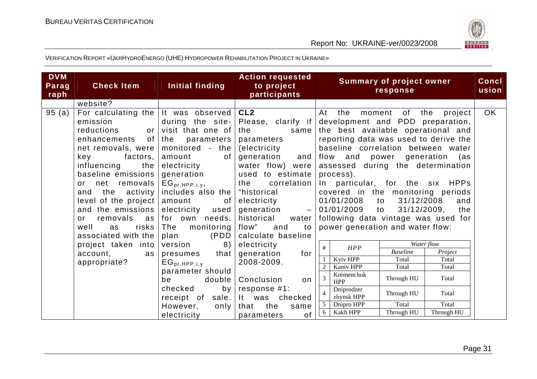



| <b>DVM</b><br>Parag<br>raph | <b>Check Item</b>                                                                                                                                                                                                                                                                                                                                                                           | Initial finding                                                                                                                                                                                                                                                       | <b>Action requested</b><br>to project<br>participants                                                                                                                                                                                                                                      | <b>Summary of project owner</b><br>response                                                                                                                                                                                                                                                                                                                                                                                                                                                                                      | <b>Concl</b><br>usion |
|-----------------------------|---------------------------------------------------------------------------------------------------------------------------------------------------------------------------------------------------------------------------------------------------------------------------------------------------------------------------------------------------------------------------------------------|-----------------------------------------------------------------------------------------------------------------------------------------------------------------------------------------------------------------------------------------------------------------------|--------------------------------------------------------------------------------------------------------------------------------------------------------------------------------------------------------------------------------------------------------------------------------------------|----------------------------------------------------------------------------------------------------------------------------------------------------------------------------------------------------------------------------------------------------------------------------------------------------------------------------------------------------------------------------------------------------------------------------------------------------------------------------------------------------------------------------------|-----------------------|
|                             | website?                                                                                                                                                                                                                                                                                                                                                                                    |                                                                                                                                                                                                                                                                       |                                                                                                                                                                                                                                                                                            |                                                                                                                                                                                                                                                                                                                                                                                                                                                                                                                                  |                       |
| 95(a)                       | For calculating the   It was observed  <br>emission<br>reductions<br>or <sub>l</sub><br>of <sub>l</sub><br>enhancements<br>net removals, were<br>factors, $ $<br>key<br>influencing<br>the<br>baseline emissions<br>net removals<br>or<br>the<br>activity  <br>and<br>level of the project  <br>and the emissions<br>removals<br>as I<br>or<br>well<br>risks  <br>as<br>associated with the | during the site-<br>visit that one of<br>the<br>parameters  <br>monitored - the<br>of<br>amount<br>electricity<br>generation<br>$EG_{pr,HPP,i,y}$<br>includes also the $ $<br>amount<br>of<br>electricity used<br>for own needs.<br>monitoring<br>The<br>(PDD<br>plan | CL <sub>2</sub><br>Please, clarify if<br>the<br>same<br>parameters<br>(electricity<br>generation<br>and<br>water flow) were<br>used to estimate<br>the correlation<br>"historical<br>electricity<br>generation<br>$ \,$<br>historical<br>water<br>flow"<br>and<br>to<br>calculate baseline | At the<br>of<br>the<br>moment<br>project<br>development and PDD preparation,<br>the best available operational and<br>reporting data was used to derive the<br>baseline correlation between water<br>flow<br>generation<br>and<br>power<br>as)<br>assessed during the determination<br>process).<br>In particular, for the six HPPs<br>covered in the monitoring periods<br>31/12/2008<br>01/01/2008<br>to<br>and<br>01/01/2009 to<br>31/12/2009, the<br>following data vintage was used for<br>power generation and water flow: | OK                    |
|                             | project taken into                                                                                                                                                                                                                                                                                                                                                                          | version<br>8)                                                                                                                                                                                                                                                         | electricity                                                                                                                                                                                                                                                                                | Water flow<br>#<br>HPP                                                                                                                                                                                                                                                                                                                                                                                                                                                                                                           |                       |
|                             | account,<br>as                                                                                                                                                                                                                                                                                                                                                                              | presumes that                                                                                                                                                                                                                                                         | generation<br>for                                                                                                                                                                                                                                                                          | <b>Baseline</b><br>Project                                                                                                                                                                                                                                                                                                                                                                                                                                                                                                       |                       |
|                             | appropriate?                                                                                                                                                                                                                                                                                                                                                                                | $EG_{pr,HPP,i,y}$                                                                                                                                                                                                                                                     | 2008-2009.                                                                                                                                                                                                                                                                                 | Kyiv HPP<br>Total<br>Total                                                                                                                                                                                                                                                                                                                                                                                                                                                                                                       |                       |
|                             |                                                                                                                                                                                                                                                                                                                                                                                             | parameter should                                                                                                                                                                                                                                                      |                                                                                                                                                                                                                                                                                            | Kaniv HPP<br>Total<br>Total                                                                                                                                                                                                                                                                                                                                                                                                                                                                                                      |                       |
|                             |                                                                                                                                                                                                                                                                                                                                                                                             | be<br>double                                                                                                                                                                                                                                                          | Conclusion<br>on.                                                                                                                                                                                                                                                                          | Kremenchuk<br>$\overline{3}$<br>Through HU<br>Total<br><b>HPP</b>                                                                                                                                                                                                                                                                                                                                                                                                                                                                |                       |
|                             | checked<br>by<br>sale.<br>receipt of                                                                                                                                                                                                                                                                                                                                                        | response #1:<br>It was checked                                                                                                                                                                                                                                        | Dniprodzer<br>Through HU<br>Total<br>zhynsk HPP                                                                                                                                                                                                                                            |                                                                                                                                                                                                                                                                                                                                                                                                                                                                                                                                  |                       |
|                             |                                                                                                                                                                                                                                                                                                                                                                                             | However,<br>only                                                                                                                                                                                                                                                      | the<br>that<br>same                                                                                                                                                                                                                                                                        | Total<br>Total<br>$\overline{5}$<br>Dnipro HPP                                                                                                                                                                                                                                                                                                                                                                                                                                                                                   |                       |
|                             |                                                                                                                                                                                                                                                                                                                                                                                             | electricity                                                                                                                                                                                                                                                           | of<br>parameters                                                                                                                                                                                                                                                                           | Kakh HPP<br>Through HU<br>Through HU<br>-6                                                                                                                                                                                                                                                                                                                                                                                                                                                                                       |                       |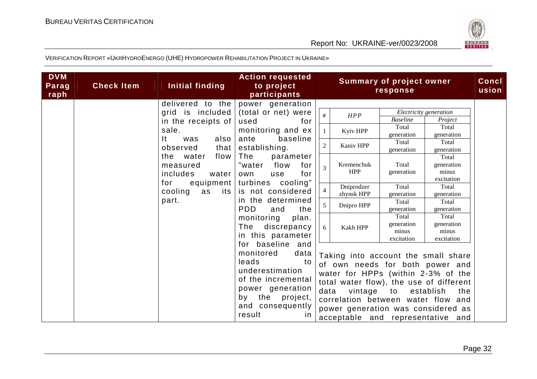



| <b>DVM</b><br>Parag<br>raph | <b>Check Item</b> | Initial finding                                            | <b>Action requested</b><br>to project<br>participants                                                                                                                                 |                                  |                                                  | <b>Summary of project owner</b><br>response              |                                                                                                                                                                                                                                                        | Concl<br>usion |
|-----------------------------|-------------------|------------------------------------------------------------|---------------------------------------------------------------------------------------------------------------------------------------------------------------------------------------|----------------------------------|--------------------------------------------------|----------------------------------------------------------|--------------------------------------------------------------------------------------------------------------------------------------------------------------------------------------------------------------------------------------------------------|----------------|
|                             |                   | delivered to the<br>grid is included<br>in the receipts of | power generation<br>(total or net) were<br>used<br>for                                                                                                                                | #                                | HPP                                              | <b>Baseline</b><br>Total                                 | Electricity generation<br>Project<br>Total                                                                                                                                                                                                             |                |
|                             |                   | sale.<br>$\mathsf{It}$<br>also<br>was<br>observed<br>that  | monitoring and ex<br>ante<br>baseline<br>establishing.                                                                                                                                | $\overline{2}$                   | Kyiv HPP<br>Kaniv HPP                            | generation<br>Total<br>generation                        | generation<br>Total<br>generation                                                                                                                                                                                                                      |                |
|                             |                   | flow<br>the water<br>measured<br>includes<br>water         | The<br>parameter<br>"water<br>flow<br>for<br>for<br>use<br>own                                                                                                                        | $\overline{3}$                   | Kremenchuk<br><b>HPP</b>                         | Total<br>generation                                      | Total<br>generation<br>minus<br>excitation                                                                                                                                                                                                             |                |
|                             |                   | equipment<br>for<br>cooling<br>as<br>its<br>part.          | turbines cooling"<br>is not considered<br>in the determined                                                                                                                           | $\overline{4}$<br>$\overline{5}$ | Dniprodzer<br>zhynsk HPP<br>Dnipro HPP           | Total<br>generation<br>Total                             | Total<br>generation<br>Total                                                                                                                                                                                                                           |                |
|                             |                   |                                                            | <b>PDD</b><br>and<br>the<br>monitoring<br>plan.<br>discrepancy<br>The<br>in this parameter                                                                                            | 6                                | Kakh HPP                                         | generation<br>Total<br>generation<br>minus<br>excitation | generation<br>Total<br>generation<br>minus<br>excitation                                                                                                                                                                                               |                |
|                             |                   |                                                            | for baseline and<br>monitored<br>data<br>leads<br>to<br>underestimation<br>of the incremental<br>power generation<br>the<br>by<br>project,<br>and consequently<br>result<br><i>in</i> | data                             | vintage to<br>correlation between water flow and |                                                          | Taking into account the small share<br>of own needs for both power and<br>water for HPPs (within 2-3% of the<br>total water flow), the use of different<br>establish<br>the<br>power generation was considered as<br>acceptable and representative and |                |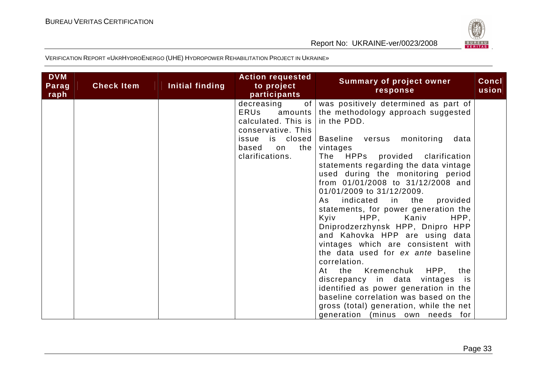

| decreasing<br>was positively determined as part of<br>of<br><b>ERUs</b><br>the methodology approach suggested<br>amounts<br>calculated. This is<br>in the PDD.                                                                                                                                                                                                                                                                                                                                                                                                                                                                                                                                                                                                                                                 |  |
|----------------------------------------------------------------------------------------------------------------------------------------------------------------------------------------------------------------------------------------------------------------------------------------------------------------------------------------------------------------------------------------------------------------------------------------------------------------------------------------------------------------------------------------------------------------------------------------------------------------------------------------------------------------------------------------------------------------------------------------------------------------------------------------------------------------|--|
| conservative. This<br>Baseline versus monitoring<br>is closed<br>issue<br>data<br>the<br>based<br>vintages<br>on<br>clarifications.<br>The HPPs<br>provided clarification<br>statements regarding the data vintage<br>used during the monitoring period<br>from 01/01/2008 to 31/12/2008 and<br>01/01/2009 to 31/12/2009.<br>indicated<br>in the<br>provided<br>As<br>statements, for power generation the<br>HPP, Kaniv<br>HPP,<br>Kyiv<br>Dniprodzerzhynsk HPP, Dnipro HPP<br>and Kahovka HPP are using data<br>vintages which are consistent with<br>the data used for ex ante baseline<br>correlation.<br>At the Kremenchuk HPP,<br>the<br>discrepancy in data<br>vintages is<br>identified as power generation in the<br>baseline correlation was based on the<br>gross (total) generation, while the net |  |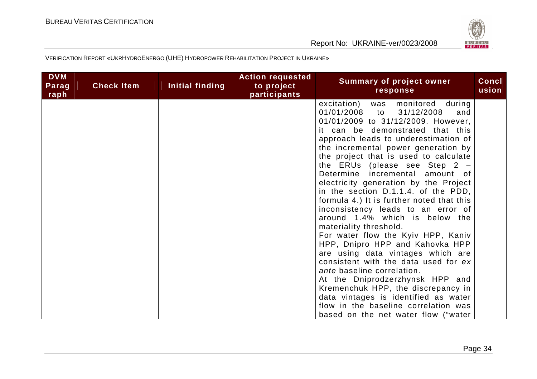

| <b>DVM</b><br>Parag<br>raph | <b>Check Item</b> | Initial finding | <b>Action requested</b><br>to project<br>participants | <b>Summary of project owner</b><br>response                                                                                                                                                                                                                                                                                                                                                                                                                                                                                                                                                                                                                                                                                                                                                                                                                                                                                                                                         | <b>Concl</b><br>usion |
|-----------------------------|-------------------|-----------------|-------------------------------------------------------|-------------------------------------------------------------------------------------------------------------------------------------------------------------------------------------------------------------------------------------------------------------------------------------------------------------------------------------------------------------------------------------------------------------------------------------------------------------------------------------------------------------------------------------------------------------------------------------------------------------------------------------------------------------------------------------------------------------------------------------------------------------------------------------------------------------------------------------------------------------------------------------------------------------------------------------------------------------------------------------|-----------------------|
|                             |                   |                 |                                                       | monitored<br>excitation)<br>during<br>was<br>01/01/2008<br>31/12/2008<br>and<br>to<br>01/01/2009 to 31/12/2009. However,<br>it can be demonstrated that this<br>approach leads to underestimation of<br>the incremental power generation by<br>the project that is used to calculate<br>the ERUs (please see Step $2 -$<br>Determine incremental<br>amount of<br>electricity generation by the Project<br>in the section $D.1.1.4$ . of the PDD,<br>formula 4.) It is further noted that this<br>inconsistency leads to an error of<br>around 1.4% which is below the<br>materiality threshold.<br>For water flow the Kyiv HPP, Kaniv<br>HPP, Dnipro HPP and Kahovka HPP<br>are using data vintages which are<br>consistent with the data used for ex<br>ante baseline correlation.<br>At the Dniprodzerzhynsk HPP and<br>Kremenchuk HPP, the discrepancy in<br>data vintages is identified as water<br>flow in the baseline correlation was<br>based on the net water flow ("water |                       |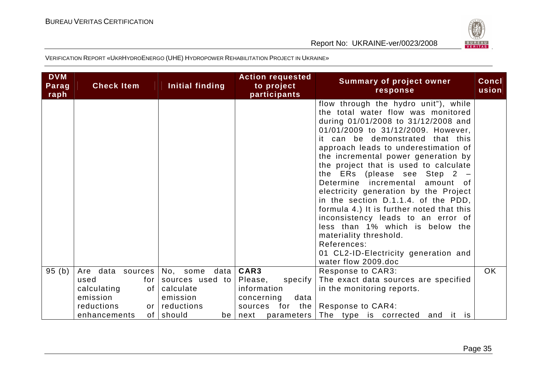

| <b>DVM</b><br>Parag<br>raph | <b>Check Item</b>               | Initial finding           | <b>Action requested</b><br>to project<br>participants | <b>Summary of project owner</b><br>response                                                                                                                                                                                                                                                                                                                                                                                                                                                                                                                                                                                                                                                               | <b>Concl</b><br>usion |
|-----------------------------|---------------------------------|---------------------------|-------------------------------------------------------|-----------------------------------------------------------------------------------------------------------------------------------------------------------------------------------------------------------------------------------------------------------------------------------------------------------------------------------------------------------------------------------------------------------------------------------------------------------------------------------------------------------------------------------------------------------------------------------------------------------------------------------------------------------------------------------------------------------|-----------------------|
|                             |                                 |                           |                                                       | flow through the hydro unit"), while<br>the total water flow was monitored<br>during 01/01/2008 to 31/12/2008 and<br>01/01/2009 to 31/12/2009. However,<br>it can be demonstrated that this<br>approach leads to underestimation of<br>the incremental power generation by<br>the project that is used to calculate<br>the ERs (please see Step $2 -$<br>Determine incremental<br>amount of<br>electricity generation by the Project<br>in the section D.1.1.4. of the PDD,<br>formula 4.) It is further noted that this<br>inconsistency leads to an error of<br>less than 1% which is below the<br>materiality threshold.<br>References:<br>01 CL2-ID-Electricity generation and<br>water flow 2009.doc |                       |
| 95(b)                       | Are data sources                | data<br>No, some          | CAR3                                                  | <b>Response to CAR3:</b>                                                                                                                                                                                                                                                                                                                                                                                                                                                                                                                                                                                                                                                                                  | <b>OK</b>             |
|                             | used<br>for I                   | sources used to           | Please,<br>specify                                    | The exact data sources are specified                                                                                                                                                                                                                                                                                                                                                                                                                                                                                                                                                                                                                                                                      |                       |
|                             | calculating<br>of I             | calculate                 | information                                           | in the monitoring reports.                                                                                                                                                                                                                                                                                                                                                                                                                                                                                                                                                                                                                                                                                |                       |
|                             | emission                        | emission                  | concerning<br>data                                    |                                                                                                                                                                                                                                                                                                                                                                                                                                                                                                                                                                                                                                                                                                           |                       |
|                             | reductions<br>or I              | reductions                | sources for the                                       | Response to CAR4:                                                                                                                                                                                                                                                                                                                                                                                                                                                                                                                                                                                                                                                                                         |                       |
|                             | enhancements<br>of <sub>1</sub> | should<br>be <sub>1</sub> | next                                                  | parameters The type is corrected<br>and it is                                                                                                                                                                                                                                                                                                                                                                                                                                                                                                                                                                                                                                                             |                       |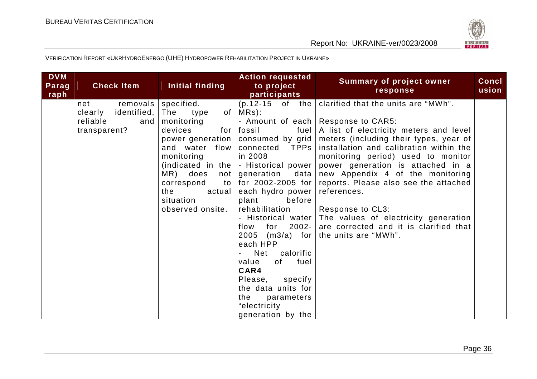

| <b>DVM</b><br>Parag<br>raph | <b>Check Item</b>                                                            | Initial finding                                                                                                                                                                                                                        | <b>Action requested</b><br>to project<br>participants                                                                                                                                                                                                                                                                                                                                                                                                                               | <b>Summary of project owner</b><br>response                                                                                                                                                                                                                                                                                                                                                                                                                                                                     | Concl<br>usion |
|-----------------------------|------------------------------------------------------------------------------|----------------------------------------------------------------------------------------------------------------------------------------------------------------------------------------------------------------------------------------|-------------------------------------------------------------------------------------------------------------------------------------------------------------------------------------------------------------------------------------------------------------------------------------------------------------------------------------------------------------------------------------------------------------------------------------------------------------------------------------|-----------------------------------------------------------------------------------------------------------------------------------------------------------------------------------------------------------------------------------------------------------------------------------------------------------------------------------------------------------------------------------------------------------------------------------------------------------------------------------------------------------------|----------------|
|                             | removals<br>net<br>identified,<br>clearly<br>reliable<br>and<br>transparent? | specified.<br>The<br>type<br>of I<br>monitoring<br>devices<br>for<br>power generation  <br>and water flow<br>monitoring<br>(indicated in the)<br>MR) does<br>not<br>correspond<br>to<br>the<br>actual<br>situation<br>observed onsite. | $(p.12-15 \text{ of the})$<br>$MRs$ ):<br>fossil<br>fuel<br>consumed by grid<br>TPPs  <br>connected<br>in 2008<br>- Historical power<br>generation<br>data<br>for 2002-2005 for<br>each hydro power<br>before<br>plant<br>rehabilitation<br>- Historical water<br>for<br>$2002 -$<br>flow<br>$(m3/a)$ for<br>2005<br>each HPP<br>Net calorific<br>value<br>of<br>fuel<br>CAR4<br>Please,<br>specify<br>the data units for<br>the<br>parameters<br>"electricity<br>generation by the | clarified that the units are "MWh".<br>- Amount of each   Response to CAR5:<br>A list of electricity meters and level<br>meters (including their types, year of<br>installation and calibration within the<br>monitoring period) used to monitor<br>power generation is attached in a<br>new Appendix 4 of the monitoring<br>reports. Please also see the attached<br>references.<br>Response to CL3:<br>The values of electricity generation<br>are corrected and it is clarified that<br>the units are "MWh". |                |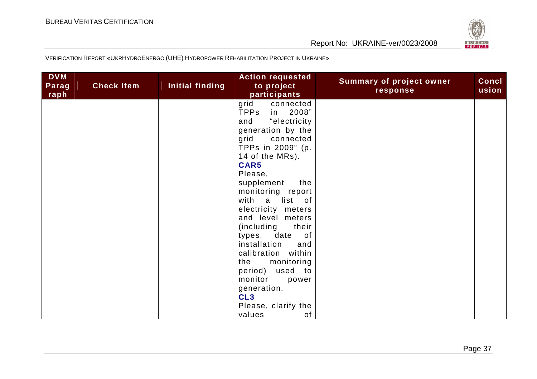

| <b>DVM</b><br>Parag<br>raph | <b>Check Item</b> | Initial finding | <b>Action requested</b><br>to project<br>participants | <b>Summary of project owner</b><br>response | Concl<br>usion |
|-----------------------------|-------------------|-----------------|-------------------------------------------------------|---------------------------------------------|----------------|
|                             |                   |                 | grid<br>connected                                     |                                             |                |
|                             |                   |                 | TPPs<br>in 2008"                                      |                                             |                |
|                             |                   |                 | "electricity<br>and                                   |                                             |                |
|                             |                   |                 | generation by the                                     |                                             |                |
|                             |                   |                 | grid<br>connected                                     |                                             |                |
|                             |                   |                 | TPPs in 2009" (p.                                     |                                             |                |
|                             |                   |                 | 14 of the MRs).                                       |                                             |                |
|                             |                   |                 | CAR5                                                  |                                             |                |
|                             |                   |                 | Please,                                               |                                             |                |
|                             |                   |                 | supplement<br>the                                     |                                             |                |
|                             |                   |                 | monitoring report                                     |                                             |                |
|                             |                   |                 | with a list of                                        |                                             |                |
|                             |                   |                 | electricity meters<br>and level meters                |                                             |                |
|                             |                   |                 | (including<br>their                                   |                                             |                |
|                             |                   |                 | types, date<br>of                                     |                                             |                |
|                             |                   |                 | installation<br>and                                   |                                             |                |
|                             |                   |                 | calibration within                                    |                                             |                |
|                             |                   |                 | monitoring<br>the                                     |                                             |                |
|                             |                   |                 | used to<br>period)                                    |                                             |                |
|                             |                   |                 | monitor<br>power                                      |                                             |                |
|                             |                   |                 | generation.                                           |                                             |                |
|                             |                   |                 | CL <sub>3</sub>                                       |                                             |                |
|                             |                   |                 | Please, clarify the                                   |                                             |                |
|                             |                   |                 | values<br>of                                          |                                             |                |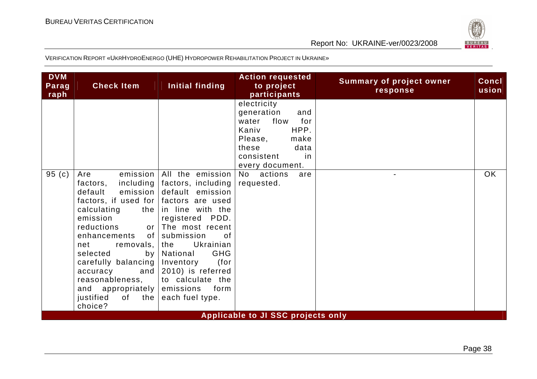

| <b>DVM</b><br>Parag<br>raph | <b>Check Item</b>                                                                                                                                                                                                                                                                                                    | Initial finding                                                                                                                                                                                                                                                                                               | <b>Action requested</b><br>to project<br>participants                                                                                                | <b>Summary of project owner</b><br>response | <b>Concl</b><br>usion |
|-----------------------------|----------------------------------------------------------------------------------------------------------------------------------------------------------------------------------------------------------------------------------------------------------------------------------------------------------------------|---------------------------------------------------------------------------------------------------------------------------------------------------------------------------------------------------------------------------------------------------------------------------------------------------------------|------------------------------------------------------------------------------------------------------------------------------------------------------|---------------------------------------------|-----------------------|
|                             |                                                                                                                                                                                                                                                                                                                      |                                                                                                                                                                                                                                                                                                               | electricity<br>generation<br>and<br>for<br>flow<br>water<br>HPP.<br>Kaniv<br>Please,<br>make<br>these<br>data<br>consistent<br>in<br>every document. |                                             |                       |
| 95 (c)                      | Are<br>including<br>factors,<br>default<br>factors, if used for factors are used<br>calculating<br>emission<br>reductions<br>enhancements of submission<br>net<br>removals,  <br>selected<br>carefully balancing<br>accuracy<br>reasonableness,<br>and appropriately emissions<br>justified<br>of the $ $<br>choice? | emission   All the emission<br>factors, including<br>emission default emission<br>the in line with the<br>registered PDD.<br>or The most recent<br>0f<br>Ukrainian<br>the<br><b>GHG</b><br>by   National<br>Inventory<br>(for<br>and $\vert$ 2010) is referred<br>to calculate the<br>form<br>each fuel type. | No actions<br>are<br>requested.                                                                                                                      |                                             | <b>OK</b>             |
|                             |                                                                                                                                                                                                                                                                                                                      |                                                                                                                                                                                                                                                                                                               | <b>Applicable to JI SSC projects only</b>                                                                                                            |                                             |                       |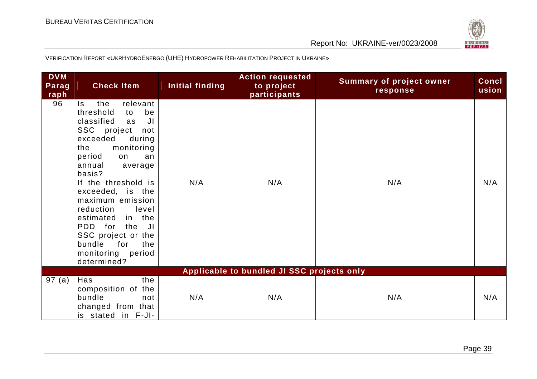

| <b>DVM</b><br>Parag<br>raph | <b>Check Item</b>                                                                                                                                                                                                                                                                                                                                                                                               | Initial finding | <b>Action requested</b><br>to project<br>participants | <b>Summary of project owner</b><br>response | <b>Concl</b><br>usion |
|-----------------------------|-----------------------------------------------------------------------------------------------------------------------------------------------------------------------------------------------------------------------------------------------------------------------------------------------------------------------------------------------------------------------------------------------------------------|-----------------|-------------------------------------------------------|---------------------------------------------|-----------------------|
| 96                          | relevant<br>the<br>Is.<br>threshold<br>be<br>to<br>classified<br>JI<br>as<br>SSC project<br>not<br>exceeded<br>during<br>monitoring<br>the<br>period<br>an<br>on<br>annual<br>average<br>basis?<br>If the threshold is<br>exceeded, is the<br>maximum emission<br>reduction<br>level<br>in the<br>estimated<br>PDD for the JI<br>SSC project or the<br>bundle<br>for<br>the<br>monitoring period<br>determined? | N/A             | N/A                                                   | N/A                                         | N/A                   |
|                             |                                                                                                                                                                                                                                                                                                                                                                                                                 |                 | Applicable to bundled JI SSC projects only            |                                             |                       |
| 97(a)                       | Has<br>the<br>composition of the<br>bundle<br>not<br>changed from that<br>is stated in F-JI-                                                                                                                                                                                                                                                                                                                    | N/A             | N/A                                                   | N/A                                         | N/A                   |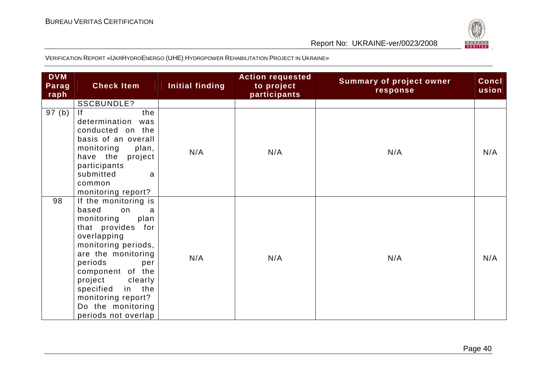

| <b>DVM</b><br>Parag<br>raph | <b>Check Item</b>                                                                                                                                                                                                                                                                                    | Initial finding | <b>Action requested</b><br>to project<br>participants | <b>Summary of project owner</b><br>response | Concl<br>usion |
|-----------------------------|------------------------------------------------------------------------------------------------------------------------------------------------------------------------------------------------------------------------------------------------------------------------------------------------------|-----------------|-------------------------------------------------------|---------------------------------------------|----------------|
|                             | SSCBUNDLE?                                                                                                                                                                                                                                                                                           |                 |                                                       |                                             |                |
| 97(b)                       | the<br> f <br>determination<br>was<br>conducted on the<br>basis of an overall<br>monitoring<br>plan,<br>have the<br>project<br>participants<br>submitted<br>a<br>common<br>monitoring report?                                                                                                        | N/A             | N/A                                                   | N/A                                         | N/A            |
| 98                          | If the monitoring is<br>based<br>on<br>a<br>monitoring<br>plan<br>that provides for<br>overlapping<br>monitoring periods,<br>are the monitoring<br>periods<br>per<br>component of the<br>project<br>clearly<br>in the<br>specified<br>monitoring report?<br>Do the monitoring<br>periods not overlap | N/A             | N/A                                                   | N/A                                         | N/A            |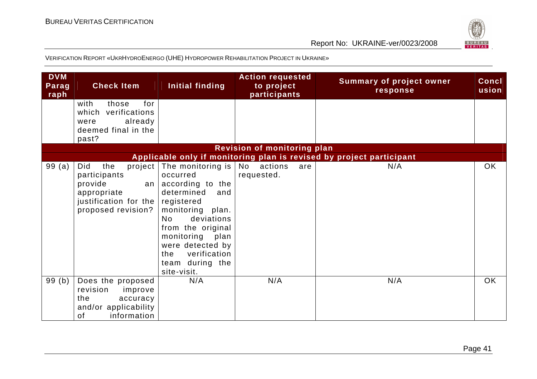

| <b>DVM</b><br>Parag<br>raph | <b>Check Item</b>                                                                                                      | Initial finding                                                                                                                                                                                                                                                | <b>Action requested</b><br>to project<br>participants | <b>Summary of project owner</b><br>response                          | Concl<br>usion |
|-----------------------------|------------------------------------------------------------------------------------------------------------------------|----------------------------------------------------------------------------------------------------------------------------------------------------------------------------------------------------------------------------------------------------------------|-------------------------------------------------------|----------------------------------------------------------------------|----------------|
|                             | with<br>those<br>for<br>which<br>verifications<br>already<br>were<br>deemed final in the<br>past?                      |                                                                                                                                                                                                                                                                |                                                       |                                                                      |                |
|                             |                                                                                                                        |                                                                                                                                                                                                                                                                | <b>Revision of monitoring plan</b>                    |                                                                      |                |
|                             |                                                                                                                        |                                                                                                                                                                                                                                                                |                                                       | Applicable only if monitoring plan is revised by project participant |                |
| 99(a)                       | Did<br>the<br>participants<br>provide<br>an <sub>l</sub><br>appropriate<br>justification for the<br>proposed revision? | project   The monitoring is  <br>occurred<br>according to the<br>determined<br>and<br>registered<br>monitoring plan.<br>deviations<br>No.<br>from the original<br>monitoring plan<br>were detected by<br>verification<br>the<br>team during the<br>site-visit. | No actions<br>are<br>requested.                       | N/A                                                                  | OK             |
| 99(b)                       | Does the proposed<br>revision<br>improve<br>the<br>accuracy<br>and/or applicability<br>information<br>of               | N/A                                                                                                                                                                                                                                                            | N/A                                                   | N/A                                                                  | <b>OK</b>      |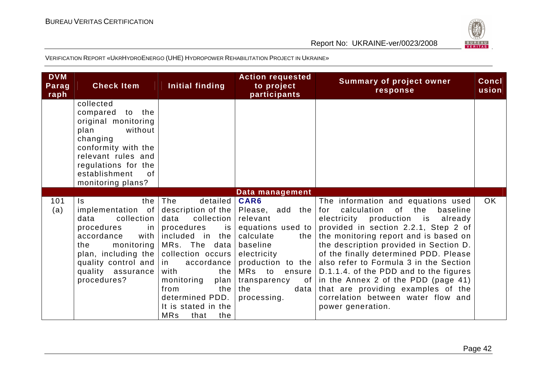

| <b>DVM</b><br>Parag<br>raph | <b>Check Item</b>                                                                                                                                                                                                                          | Initial finding                                                                                                                                                                                                                                                      | <b>Action requested</b><br>to project<br>participants                                                                                                                                             | <b>Summary of project owner</b><br>response                                                                                                                                                                                                                                                                                                                                                                                                                                                                         | <b>Concl</b><br>usion |
|-----------------------------|--------------------------------------------------------------------------------------------------------------------------------------------------------------------------------------------------------------------------------------------|----------------------------------------------------------------------------------------------------------------------------------------------------------------------------------------------------------------------------------------------------------------------|---------------------------------------------------------------------------------------------------------------------------------------------------------------------------------------------------|---------------------------------------------------------------------------------------------------------------------------------------------------------------------------------------------------------------------------------------------------------------------------------------------------------------------------------------------------------------------------------------------------------------------------------------------------------------------------------------------------------------------|-----------------------|
|                             | collected<br>compared to the<br>original monitoring<br>plan<br>without<br>changing<br>conformity with the<br>relevant rules and<br>regulations for the<br>establishment<br>0f<br>monitoring plans?                                         |                                                                                                                                                                                                                                                                      |                                                                                                                                                                                                   |                                                                                                                                                                                                                                                                                                                                                                                                                                                                                                                     |                       |
|                             |                                                                                                                                                                                                                                            |                                                                                                                                                                                                                                                                      | Data management                                                                                                                                                                                   |                                                                                                                                                                                                                                                                                                                                                                                                                                                                                                                     |                       |
| 101<br>(a)                  | $\mathsf{ls}$<br>implementation of description of the<br>collection  <br>data<br>$\mathsf{in}$<br>procedures<br>accordance<br>monitoring  <br>the<br>plan, including the<br>quality control and $ $ in<br>quality assurance<br>procedures? | the $ $ The<br>deta<br>data<br>collection<br>procedures<br>is<br>with included in the<br>MRs. The data<br>collection occurs<br>accordance<br>the<br>with<br>monitoring<br>plan<br>from<br>the<br>determined PDD.<br>It is stated in the<br><b>MRs</b><br>that<br>the | CAR6<br>Please, add the<br>relevant<br>equations used to<br>calculate<br>the<br>baseline<br>electricity<br>production to the<br>MRs to<br>ensure<br>transparency of<br>the<br>data<br>processing. | The information and equations used<br>calculation<br>of the<br>baseline<br>for<br>electricity production is already<br>provided in section 2.2.1, Step 2 of<br>the monitoring report and is based on<br>the description provided in Section D.<br>of the finally determined PDD. Please<br>also refer to Formula 3 in the Section<br>D.1.1.4. of the PDD and to the figures<br>in the Annex 2 of the PDD (page 41)<br>that are providing examples of the<br>correlation between water flow and<br>power generation. | OK.                   |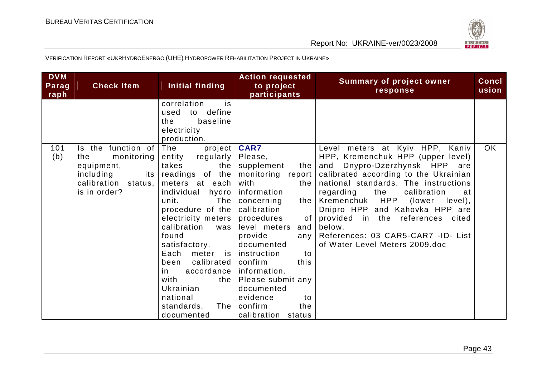

| <b>DVM</b><br>Parag<br>raph | <b>Check Item</b>                                                                                                     | Initial finding                                                                                                                                                                                                                                                                                                                                                                   | <b>Action requested</b><br>to project<br>participants                                                                                                                                                                                                                                                                                                                    | <b>Summary of project owner</b><br>response                                                                                                                                                                                                                                                                                                                                                                                       | <b>Concl</b><br>usion |
|-----------------------------|-----------------------------------------------------------------------------------------------------------------------|-----------------------------------------------------------------------------------------------------------------------------------------------------------------------------------------------------------------------------------------------------------------------------------------------------------------------------------------------------------------------------------|--------------------------------------------------------------------------------------------------------------------------------------------------------------------------------------------------------------------------------------------------------------------------------------------------------------------------------------------------------------------------|-----------------------------------------------------------------------------------------------------------------------------------------------------------------------------------------------------------------------------------------------------------------------------------------------------------------------------------------------------------------------------------------------------------------------------------|-----------------------|
|                             |                                                                                                                       | correlation<br>is<br>define<br>used<br>to<br>baseline<br>the<br>electricity<br>production.                                                                                                                                                                                                                                                                                        |                                                                                                                                                                                                                                                                                                                                                                          |                                                                                                                                                                                                                                                                                                                                                                                                                                   |                       |
| 101<br>(b)                  | Is the function of<br>the<br>monitoring<br>equipment,<br>including<br>its l<br>calibration<br>status,<br>is in order? | The<br>project  <br>regularly<br>entity<br>takes<br>the<br>readings of the<br>meters at each<br>individual<br>hydro<br>The<br>unit.<br>procedure of the<br>electricity meters<br>calibration<br>was<br>found<br>satisfactory.<br>Each<br>meter<br><b>is</b><br>calibrated<br>been<br>accordance<br>in.<br>with<br>the<br>Ukrainian<br>national<br>standards.<br>The<br>documented | <b>CAR7</b><br>Please,<br>supplement<br>the<br>monitoring<br>report<br>with<br>the<br>information<br>concerning<br>the<br>calibration<br>procedures<br>of<br>level meters<br>and<br>provide<br>any<br>documented<br>instruction<br>to<br>confirm<br>this<br>information.<br>Please submit any<br>documented<br>evidence<br>to<br>confirm<br>the<br>calibration<br>status | Level meters at Kyiv HPP, Kaniv<br>HPP, Kremenchuk HPP (upper level)<br>and Dnypro-Dzerzhynsk HPP are<br>calibrated according to the Ukrainian<br>national standards. The instructions<br>regarding<br>the<br>calibration<br>at<br>HPP<br>Kremenchuk<br>(lower<br>level),<br>Dnipro HPP and Kahovka HPP are<br>provided in the references cited<br>below.<br>References: 03 CAR5-CAR7 -ID- List<br>of Water Level Meters 2009.doc | <b>OK</b>             |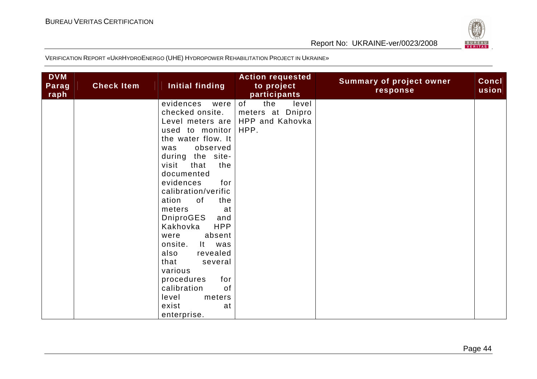

| <b>DVM</b><br>Parag<br>raph | <b>Check Item</b> | Initial finding                                                                                                                                                                                                                                                                                                                                                                                                                                                                                             | <b>Action requested</b><br>to project<br>participants             | <b>Summary of project owner</b><br>response | Concl<br>usion |
|-----------------------------|-------------------|-------------------------------------------------------------------------------------------------------------------------------------------------------------------------------------------------------------------------------------------------------------------------------------------------------------------------------------------------------------------------------------------------------------------------------------------------------------------------------------------------------------|-------------------------------------------------------------------|---------------------------------------------|----------------|
|                             |                   | evidences<br>were<br>checked onsite.<br>Level meters are<br>used to monitor<br>the water flow. It<br>observed<br>was<br>during the site-<br>that<br>the<br>visit<br>documented<br>evidences<br>for<br>calibration/verific<br>ation<br>of<br>the<br>meters<br>at<br><b>DniproGES</b><br>and<br><b>HPP</b><br>Kakhovka<br>absent<br>were<br>onsite.<br>It<br>was<br>also<br>revealed<br>that<br>several<br>various<br>procedures<br>for<br>of<br>calibration<br>level<br>meters<br>exist<br>at<br>enterprise. | of<br>the<br>level<br>meters at Dnipro<br>HPP and Kahovka<br>HPP. |                                             |                |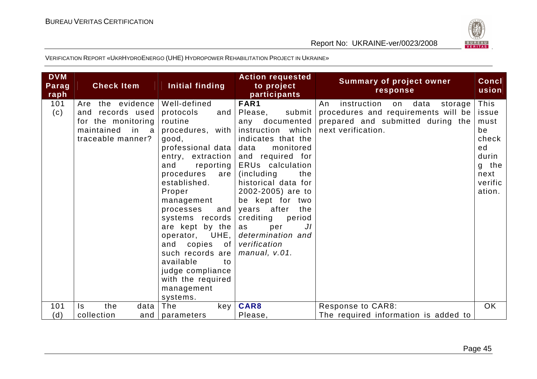

| FAR1<br>the evidence<br>Well-defined<br>instruction<br>101<br>data<br>Are<br>on<br>An<br>storage<br>and records used<br>submit<br>procedures and requirements will be<br>(c)<br>protocols<br>Please,<br>and<br>prepared and submitted during the<br>for the monitoring<br>routine<br>documented<br>any<br>instruction which<br>maintained<br>in<br>procedures, with<br>next verification.<br>-a<br>traceable manner?<br>indicates that the<br>good,<br>professional data<br>monitored<br>data<br>and required for<br>entry, extraction<br>ERUs calculation<br>reporting<br>and<br>g<br>procedures<br>are<br>(including)<br>the<br>established.<br>historical data for<br>2002-2005) are to<br>Proper<br>be kept for two<br>management<br>and<br>years after<br>the<br>processes<br>systems records<br>crediting<br>period<br>are kept by the<br>J <sub>I</sub><br>as<br>per | <b>DVM</b><br>Parag<br>raph | <b>Check Item</b> | Initial finding | <b>Action requested</b><br>to project<br>participants | <b>Summary of project owner</b><br>response | <b>Concl</b><br>usion                                                                   |
|-----------------------------------------------------------------------------------------------------------------------------------------------------------------------------------------------------------------------------------------------------------------------------------------------------------------------------------------------------------------------------------------------------------------------------------------------------------------------------------------------------------------------------------------------------------------------------------------------------------------------------------------------------------------------------------------------------------------------------------------------------------------------------------------------------------------------------------------------------------------------------|-----------------------------|-------------------|-----------------|-------------------------------------------------------|---------------------------------------------|-----------------------------------------------------------------------------------------|
| verification<br>copies<br>of<br>and<br>such records are<br>manual, v.01.<br>available<br>to<br>judge compliance<br>with the required<br>management<br>systems.                                                                                                                                                                                                                                                                                                                                                                                                                                                                                                                                                                                                                                                                                                              |                             |                   | operator, UHE,  | determination and                                     |                                             | This<br>issue<br>must<br>be<br>check<br>ed<br>durin<br>the<br>next<br>verific<br>ation. |
| the<br>The<br>CAR8<br>101<br>$\mathsf{ls}$<br>data<br>key<br>Response to CAR8:<br>(d)<br>The required information is added to<br>collection<br>Please,<br>and $ $<br>parameters                                                                                                                                                                                                                                                                                                                                                                                                                                                                                                                                                                                                                                                                                             |                             |                   |                 |                                                       |                                             | <b>OK</b>                                                                               |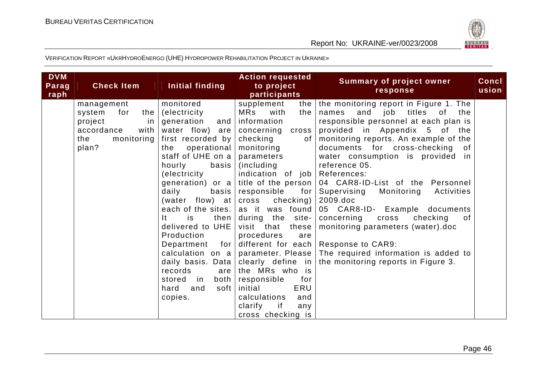

| <b>DVM</b><br>Parag<br>raph | <b>Check Item</b>                                                                                               | Initial finding                                                                                                                                                                                                                                                                                                                                                                                                                                       | <b>Action requested</b><br>to project<br>participants                                                                                                                                                                                                                                                                                                                                                                                                                                                              | <b>Summary of project owner</b><br>response                                                                                                                                                                                                                                                                                                                                                                                                                                                                                                                                                                               | <b>Concl</b><br>usion |
|-----------------------------|-----------------------------------------------------------------------------------------------------------------|-------------------------------------------------------------------------------------------------------------------------------------------------------------------------------------------------------------------------------------------------------------------------------------------------------------------------------------------------------------------------------------------------------------------------------------------------------|--------------------------------------------------------------------------------------------------------------------------------------------------------------------------------------------------------------------------------------------------------------------------------------------------------------------------------------------------------------------------------------------------------------------------------------------------------------------------------------------------------------------|---------------------------------------------------------------------------------------------------------------------------------------------------------------------------------------------------------------------------------------------------------------------------------------------------------------------------------------------------------------------------------------------------------------------------------------------------------------------------------------------------------------------------------------------------------------------------------------------------------------------------|-----------------------|
|                             | management<br>system<br>for<br>the $ $<br>project<br>in l<br>accordance<br>with  <br>the<br>monitoring<br>plan? | monitored<br>(electricity)<br>generation<br>and<br>water flow) are<br>first recorded by<br>operational<br>the<br>staff of UHE on a<br>hourly<br>basis<br>(electricity<br>generation) or a<br>daily<br>basis<br>(water flow) at<br>each of the sites.<br>then<br>lt.<br>is<br>delivered to UHE<br>Production<br>Department<br>for<br>calculation on a<br>daily basis. Data<br>records<br>are<br>stored<br>both<br>in<br>hard<br>and<br>soft<br>copies. | supplement<br>the<br>MRs<br>with<br>the<br>information<br>concerning<br>cross<br>checking<br>0f<br>monitoring<br>parameters<br>(including)<br>indication of job<br>title of the person<br>responsible<br>for  <br>checking)<br>cross<br>as it was found<br>during the site-<br>visit that these<br>procedures<br>are<br>different for each<br>parameter. Please<br>clearly define in<br>the MRs who is<br>responsible<br>for<br>ERU<br>initial<br>calculations<br>and<br>clarify<br>if<br>any<br>cross checking is | the monitoring report in Figure 1. The<br>and job titles of<br>the<br>names<br>responsible personnel at each plan is<br>provided in Appendix 5<br>of the<br>monitoring reports. An example of the<br>documents for cross-checking<br>of<br>water consumption is provided in<br>reference 05.<br>References:<br>04 CAR8-ID-List of the Personnel<br>Monitoring<br>Supervising<br>Activities<br>2009.doc<br>05 CAR8-ID- Example documents<br>checking<br>concerning<br>cross<br>of<br>monitoring parameters (water).doc<br>Response to CAR9:<br>The required information is added to<br>the monitoring reports in Figure 3. |                       |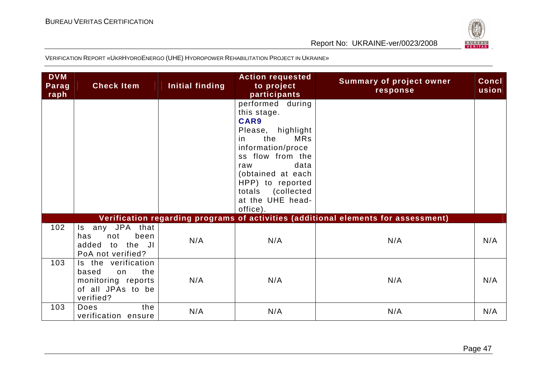

| <b>DVM</b><br>Parag<br>raph | <b>Check Item</b>                                                                                 | Initial finding | <b>Action requested</b><br>to project<br>participants                                                                                                                                                                                             | <b>Summary of project owner</b><br>response                                        | Concl<br>usion |
|-----------------------------|---------------------------------------------------------------------------------------------------|-----------------|---------------------------------------------------------------------------------------------------------------------------------------------------------------------------------------------------------------------------------------------------|------------------------------------------------------------------------------------|----------------|
|                             |                                                                                                   |                 | performed during<br>this stage.<br>CAR9<br>Please, highlight<br>the<br><b>MRs</b><br>in.<br>information/proce<br>ss flow from the<br>data<br>raw<br>(obtained at each<br>HPP) to reported<br>totals<br>(collected<br>at the UHE head-<br>office). |                                                                                    |                |
|                             |                                                                                                   |                 |                                                                                                                                                                                                                                                   | Verification regarding programs of activities (additional elements for assessment) |                |
| 102                         | any JPA that<br>$\mathsf{ls}$<br>been<br>not<br>has<br>added<br>to the JI<br>PoA not verified?    | N/A             | N/A                                                                                                                                                                                                                                               | N/A                                                                                | N/A            |
| 103                         | Is the verification<br>the<br>based<br>on<br>monitoring reports<br>of all JPAs to be<br>verified? | N/A             | N/A                                                                                                                                                                                                                                               | N/A                                                                                | N/A            |
| 103                         | the<br>Does<br>verification ensure                                                                | N/A             | N/A                                                                                                                                                                                                                                               | N/A                                                                                | N/A            |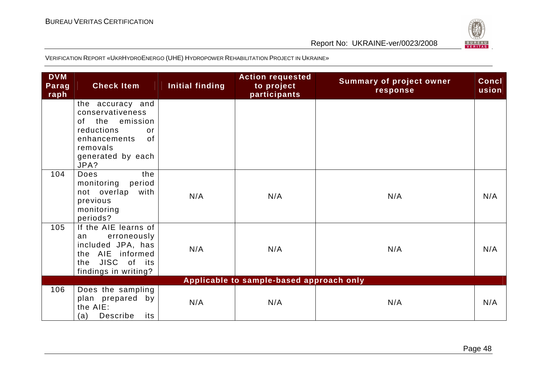

| <b>DVM</b><br>Parag<br>raph              | <b>Check Item</b>                                                                                                                             | Initial finding | <b>Action requested</b><br>to project<br>participants | <b>Summary of project owner</b><br>response | Concl<br>usion |
|------------------------------------------|-----------------------------------------------------------------------------------------------------------------------------------------------|-----------------|-------------------------------------------------------|---------------------------------------------|----------------|
|                                          | the accuracy and<br>conservativeness<br>the emission<br>0f<br>reductions<br>or<br>enhancements<br>0f<br>removals<br>generated by each<br>JPA? |                 |                                                       |                                             |                |
| 104                                      | the<br>Does<br>monitoring<br>period<br>not overlap<br>with<br>previous<br>monitoring<br>periods?                                              | N/A             | N/A                                                   | N/A                                         | N/A            |
| 105                                      | If the AIE learns of<br>erroneously<br>an<br>included JPA, has<br>the AIE informed<br>the JISC of its<br>findings in writing?                 | N/A             | N/A                                                   | N/A                                         | N/A            |
| Applicable to sample-based approach only |                                                                                                                                               |                 |                                                       |                                             |                |
| 106                                      | Does the sampling<br>plan prepared by<br>the AIE:<br>Describe<br>(a)<br>its                                                                   | N/A             | N/A                                                   | N/A                                         | N/A            |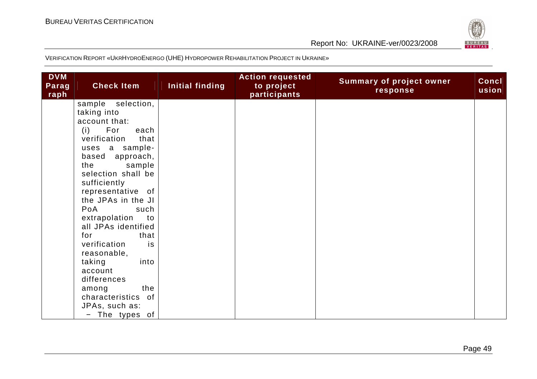

| <b>DVM</b><br>Parag<br>raph | <b>Check Item</b>    | Initial finding | <b>Action requested</b><br>to project<br>participants | <b>Summary of project owner</b><br>response | Concl<br>usion |
|-----------------------------|----------------------|-----------------|-------------------------------------------------------|---------------------------------------------|----------------|
|                             | sample<br>selection, |                 |                                                       |                                             |                |
|                             | taking into          |                 |                                                       |                                             |                |
|                             | account that:        |                 |                                                       |                                             |                |
|                             | For<br>(i)<br>each   |                 |                                                       |                                             |                |
|                             | verification<br>that |                 |                                                       |                                             |                |
|                             | uses a sample-       |                 |                                                       |                                             |                |
|                             | approach,<br>based   |                 |                                                       |                                             |                |
|                             | the<br>sample        |                 |                                                       |                                             |                |
|                             | selection shall be   |                 |                                                       |                                             |                |
|                             | sufficiently         |                 |                                                       |                                             |                |
|                             | representative of    |                 |                                                       |                                             |                |
|                             | the JPAs in the JI   |                 |                                                       |                                             |                |
|                             | PoA<br>such          |                 |                                                       |                                             |                |
|                             | extrapolation<br>to  |                 |                                                       |                                             |                |
|                             | all JPAs identified  |                 |                                                       |                                             |                |
|                             | for<br>that          |                 |                                                       |                                             |                |
|                             | verification<br>is   |                 |                                                       |                                             |                |
|                             | reasonable,          |                 |                                                       |                                             |                |
|                             | taking<br>into       |                 |                                                       |                                             |                |
|                             | account              |                 |                                                       |                                             |                |
|                             | differences          |                 |                                                       |                                             |                |
|                             | the<br>among         |                 |                                                       |                                             |                |
|                             | characteristics of   |                 |                                                       |                                             |                |
|                             | JPAs, such as:       |                 |                                                       |                                             |                |
|                             | $-$ The types of     |                 |                                                       |                                             |                |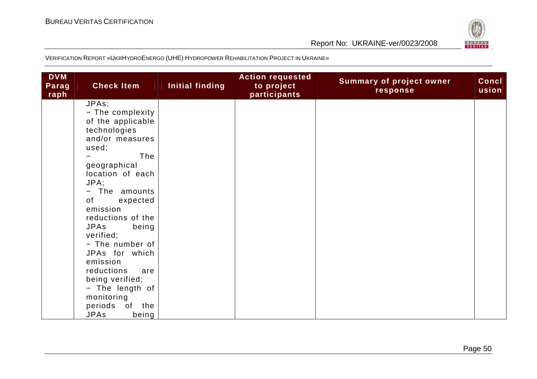

| <b>DVM</b><br>Parag<br>raph | <b>Check Item</b>                                                                                                                                                                                                             | Initial finding | <b>Action requested</b><br>to project<br>participants | <b>Summary of project owner</b><br>response | <b>Concl</b><br>usion |
|-----------------------------|-------------------------------------------------------------------------------------------------------------------------------------------------------------------------------------------------------------------------------|-----------------|-------------------------------------------------------|---------------------------------------------|-----------------------|
|                             | JPAs;<br>- The complexity<br>of the applicable<br>technologies<br>and/or measures<br>used;<br>The<br>geographical<br>location of each<br>JPA;<br>The amounts<br>$ \,$<br>of<br>expected<br>emission                           |                 |                                                       |                                             |                       |
|                             | reductions of the<br><b>JPAs</b><br>being<br>verified;<br>- The number of<br>JPAs for which<br>emission<br>reductions<br>are<br>being verified;<br>- The length of<br>monitoring<br>periods<br>of the<br><b>JPAs</b><br>being |                 |                                                       |                                             |                       |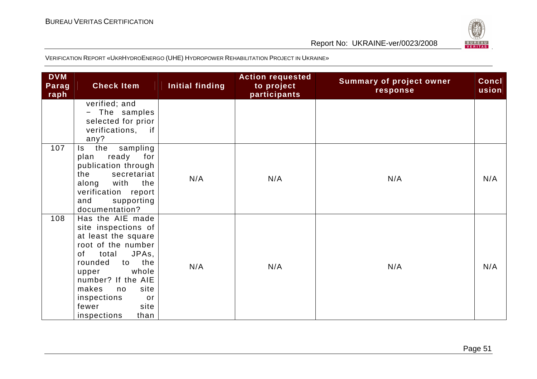

| <b>DVM</b><br>Parag<br>raph | <b>Check Item</b>                                                                                                                                                                                                                                                | Initial finding | <b>Action requested</b><br>to project<br>participants | <b>Summary of project owner</b><br>response | Concl<br>usion |
|-----------------------------|------------------------------------------------------------------------------------------------------------------------------------------------------------------------------------------------------------------------------------------------------------------|-----------------|-------------------------------------------------------|---------------------------------------------|----------------|
|                             | verified; and<br>The samples<br>selected for prior<br>verifications, if<br>any?                                                                                                                                                                                  |                 |                                                       |                                             |                |
| 107                         | the<br>sampling<br>$\mathsf{ls}$<br>ready<br>for<br>plan<br>publication through<br>secretariat<br>the<br>with<br>the<br>along<br>verification report<br>supporting<br>and<br>documentation?                                                                      | N/A             | N/A                                                   | N/A                                         | N/A            |
| 108                         | Has the AIE made<br>site inspections of<br>at least the square<br>root of the number<br>JPAs,<br>of<br>total<br>the<br>rounded<br>to<br>whole<br>upper<br>number? If the AIE<br>makes<br>site<br>no<br>inspections<br>or<br>fewer<br>site<br>inspections<br>than | N/A             | N/A                                                   | N/A                                         | N/A            |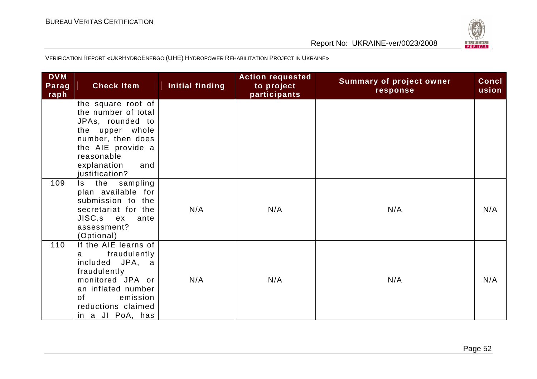

| <b>DVM</b><br>Parag<br>raph | <b>Check Item</b>                                                                                                                                                                             | Initial finding | <b>Action requested</b><br>to project<br>participants | <b>Summary of project owner</b><br>response | <b>Concl</b><br>usion |
|-----------------------------|-----------------------------------------------------------------------------------------------------------------------------------------------------------------------------------------------|-----------------|-------------------------------------------------------|---------------------------------------------|-----------------------|
|                             | the square root of<br>the number of total<br>JPAs, rounded to<br>the upper whole<br>number, then does<br>the AIE provide a<br>reasonable<br>explanation<br>and<br>justification?              |                 |                                                       |                                             |                       |
| 109                         | the sampling<br>Is.<br>plan available for<br>submission to the<br>secretariat for the<br>JISC.s ex<br>ante<br>assessment?<br>(Optional)                                                       | N/A             | N/A                                                   | N/A                                         | N/A                   |
| 110                         | If the AIE learns of<br>fraudulently<br>a<br>included JPA, a<br>fraudulently<br>monitored JPA or<br>an inflated number<br>$\mathsf{of}$<br>emission<br>reductions claimed<br>in a JI PoA, has | N/A             | N/A                                                   | N/A                                         | N/A                   |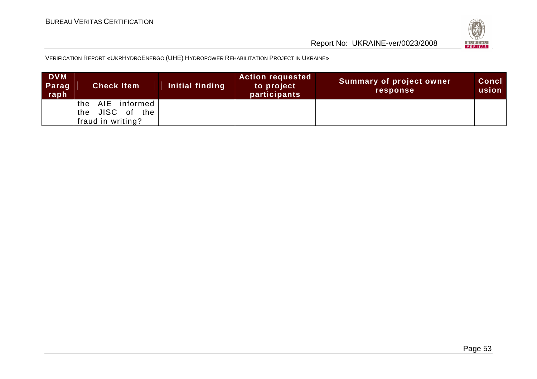



| <b>DVM</b><br>Parag<br>raph | <b>Check Item</b>                                                 | Initial finding | <b>Action requested</b><br>to project<br><b>participants</b> | <b>Summary of project owner</b><br><b>response</b> | <b>Concl</b><br>usion |
|-----------------------------|-------------------------------------------------------------------|-----------------|--------------------------------------------------------------|----------------------------------------------------|-----------------------|
|                             | AIE<br>informed<br>the<br>JISC of the<br>the<br>fraud in writing? |                 |                                                              |                                                    |                       |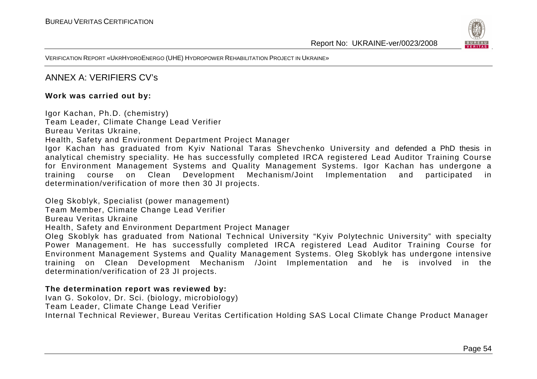

VERIFICATION REPORT «UKRHYDROENERGO (UHE) <sup>H</sup>YDROPOWER REHABILITATION PROJECT IN UKRAINE»

#### ANNEX A: VERIFIERS CV's

#### **Work was carried out by:**

Igor Kachan, Ph.D. (chemistry)

Team Leader, Climate Change Lead Verifier

Bureau Veritas Ukraine,

Health, Safety and Environment Department Project Manager

 Igor Kachan has graduated from Kyiv National Taras Shevchenko University and defended a PhD thesis in analytical chemistry speciality. He has successfully completed IRCA registered Lead Auditor Training Course for Environment Management Systems and Quality Management Systems. Igor Kachan has undergone a training course on Clean Development Mechanism/Joint Implementation and participated in determination/verification of more then 30 JI projects.

Oleg Skoblyk, Specialist (power management)

Team Member, Climate Change Lead Verifier

Bureau Veritas Ukraine

Health, Safety and Environment Department Project Manager

 Oleg Skoblyk has graduated from National Technical University "Kyiv Polytechnic University" with specialty Power Management. He has successfully completed IRCA registered Lead Auditor Training Course for Environment Management Systems and Quality Management Systems. Oleg Skoblyk has undergone intensive training on Clean Development Mechanism /Joint Implementation and he is involved in the determination/verification of 23 JI projects.

#### **The determination report was reviewed by:**

Ivan G. Sokolov, Dr. Sci. (biology, microbiology)

Team Leader, Climate Change Lead Verifier

Internal Technical Reviewer, Bureau Veritas Certification Holding SAS Local Climate Change Product Manager